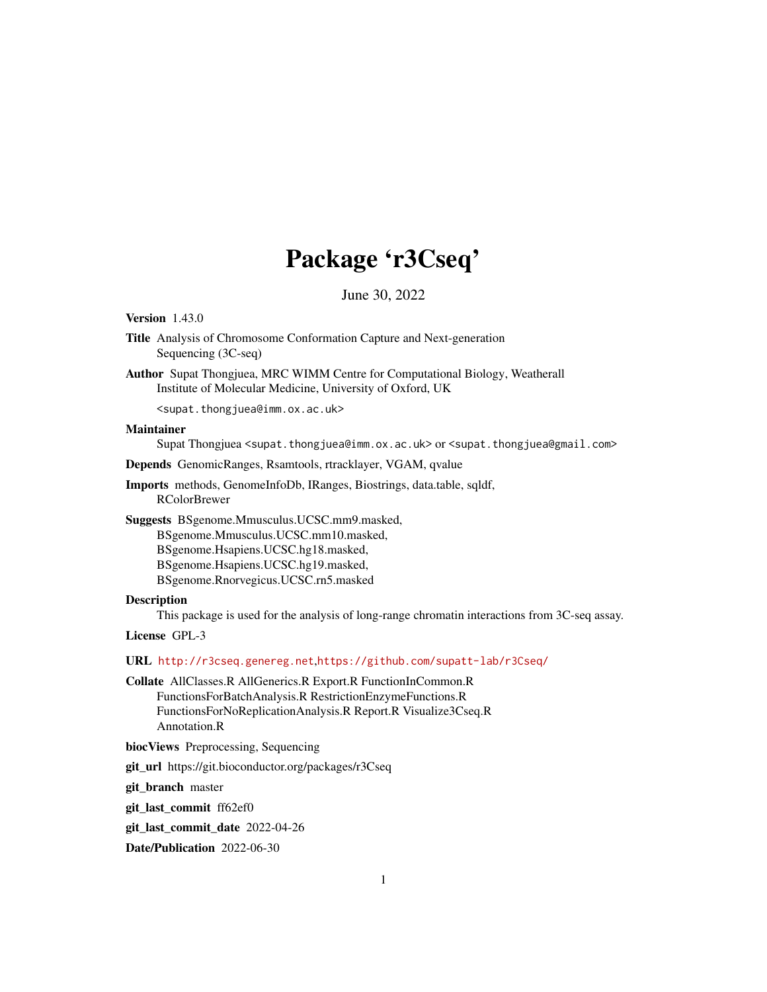# Package 'r3Cseq'

June 30, 2022

<span id="page-0-0"></span>Version 1.43.0

- Title Analysis of Chromosome Conformation Capture and Next-generation Sequencing (3C-seq)
- Author Supat Thongjuea, MRC WIMM Centre for Computational Biology, Weatherall Institute of Molecular Medicine, University of Oxford, UK

<supat.thongjuea@imm.ox.ac.uk>

#### Maintainer

Supat Thongjuea <supat.thongjuea@imm.ox.ac.uk> or <supat.thongjuea@gmail.com>

Depends GenomicRanges, Rsamtools, rtracklayer, VGAM, qvalue

Imports methods, GenomeInfoDb, IRanges, Biostrings, data.table, sqldf, RColorBrewer

Suggests BSgenome.Mmusculus.UCSC.mm9.masked,

BSgenome.Mmusculus.UCSC.mm10.masked,

BSgenome.Hsapiens.UCSC.hg18.masked,

BSgenome.Hsapiens.UCSC.hg19.masked,

BSgenome.Rnorvegicus.UCSC.rn5.masked

#### Description

This package is used for the analysis of long-range chromatin interactions from 3C-seq assay.

License GPL-3

URL <http://r3cseq.genereg.net>,<https://github.com/supatt-lab/r3Cseq/>

Collate AllClasses.R AllGenerics.R Export.R FunctionInCommon.R FunctionsForBatchAnalysis.R RestrictionEnzymeFunctions.R FunctionsForNoReplicationAnalysis.R Report.R Visualize3Cseq.R Annotation.R

biocViews Preprocessing, Sequencing

git\_url https://git.bioconductor.org/packages/r3Cseq

git branch master

git\_last\_commit ff62ef0

git\_last\_commit\_date 2022-04-26

Date/Publication 2022-06-30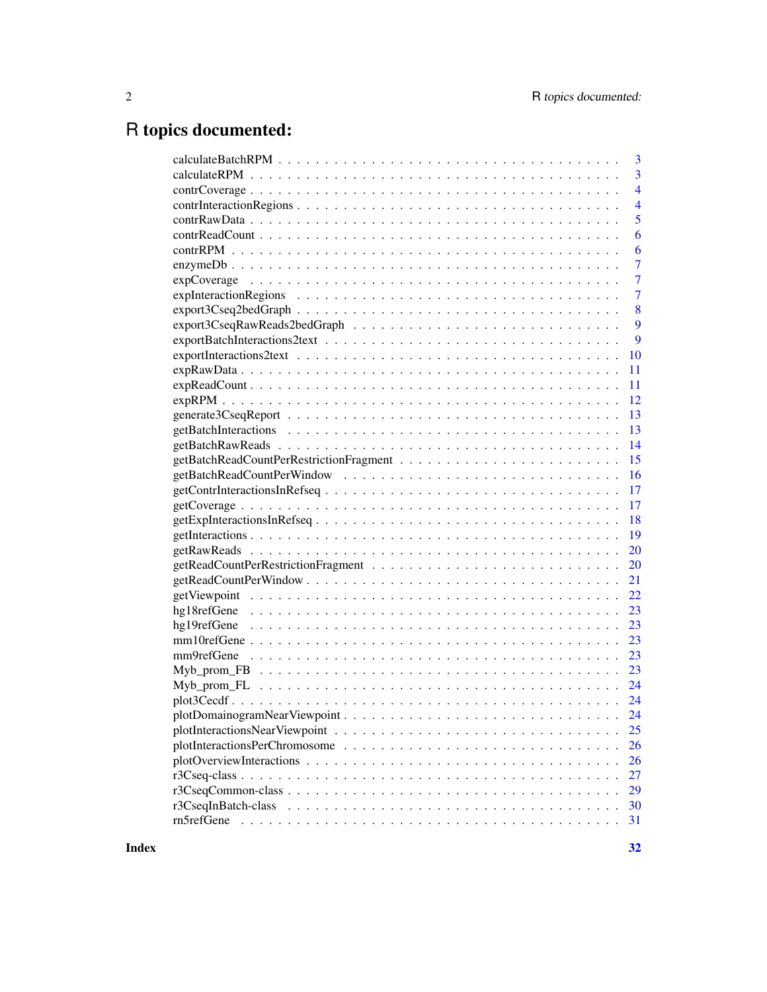## R topics documented:

| $\overline{3}$ |
|----------------|
| $\overline{3}$ |
| $\overline{4}$ |
| $\overline{4}$ |
| 5              |
| 6              |
| 6              |
| $\overline{7}$ |
| $\overline{7}$ |
| $\overline{7}$ |
| 8              |
| 9              |
| 9              |
| 10             |
| 11             |
| 11             |
| 12             |
| 13             |
| 13             |
| 14             |
| 15             |
| 16             |
| 17             |
| 17             |
| 18             |
| <b>19</b>      |
| 20             |
| 20             |
| 21             |
| 22             |
| 23             |
| 23             |
|                |
|                |
|                |
|                |
|                |
|                |
|                |
| 25             |
| 26             |
|                |
| 26             |
| 27             |
| 29             |
| 30<br>31       |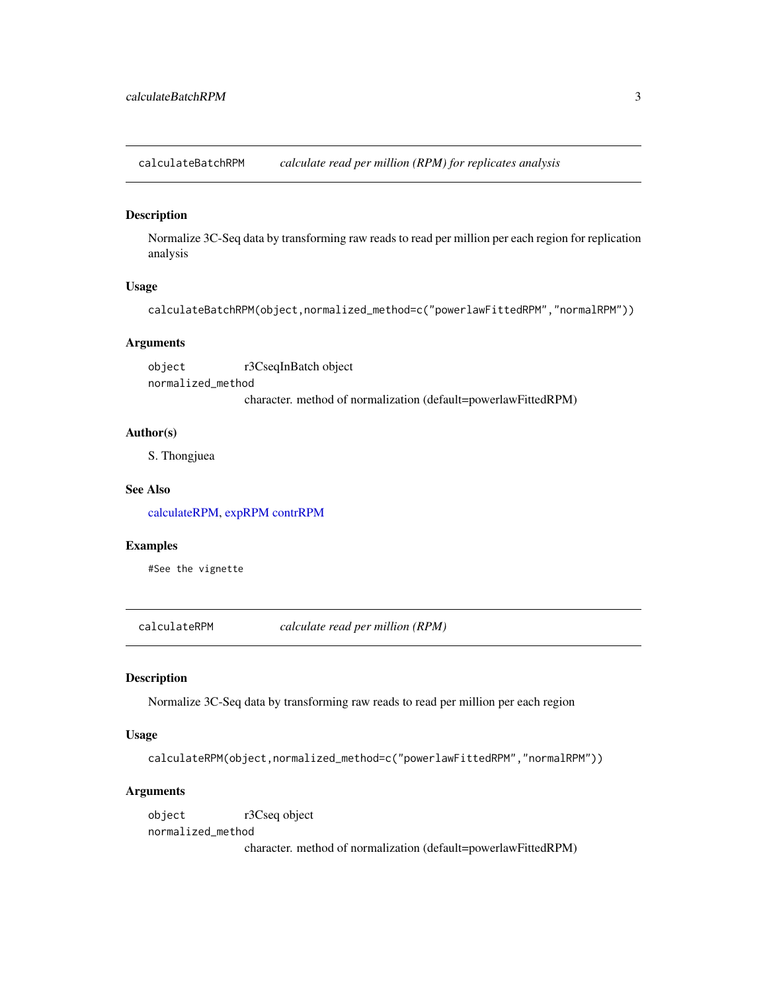<span id="page-2-2"></span><span id="page-2-0"></span>calculateBatchRPM *calculate read per million (RPM) for replicates analysis*

#### Description

Normalize 3C-Seq data by transforming raw reads to read per million per each region for replication analysis

#### Usage

```
calculateBatchRPM(object,normalized_method=c("powerlawFittedRPM","normalRPM"))
```
#### **Arguments**

object r3CseqInBatch object normalized\_method character. method of normalization (default=powerlawFittedRPM)

#### Author(s)

S. Thongjuea

#### See Also

[calculateRPM,](#page-2-1) [expRPM](#page-11-1) [contrRPM](#page-5-1)

#### Examples

#See the vignette

<span id="page-2-1"></span>calculateRPM *calculate read per million (RPM)*

#### Description

Normalize 3C-Seq data by transforming raw reads to read per million per each region

#### Usage

calculateRPM(object,normalized\_method=c("powerlawFittedRPM","normalRPM"))

#### Arguments

object r3Cseq object normalized\_method character. method of normalization (default=powerlawFittedRPM)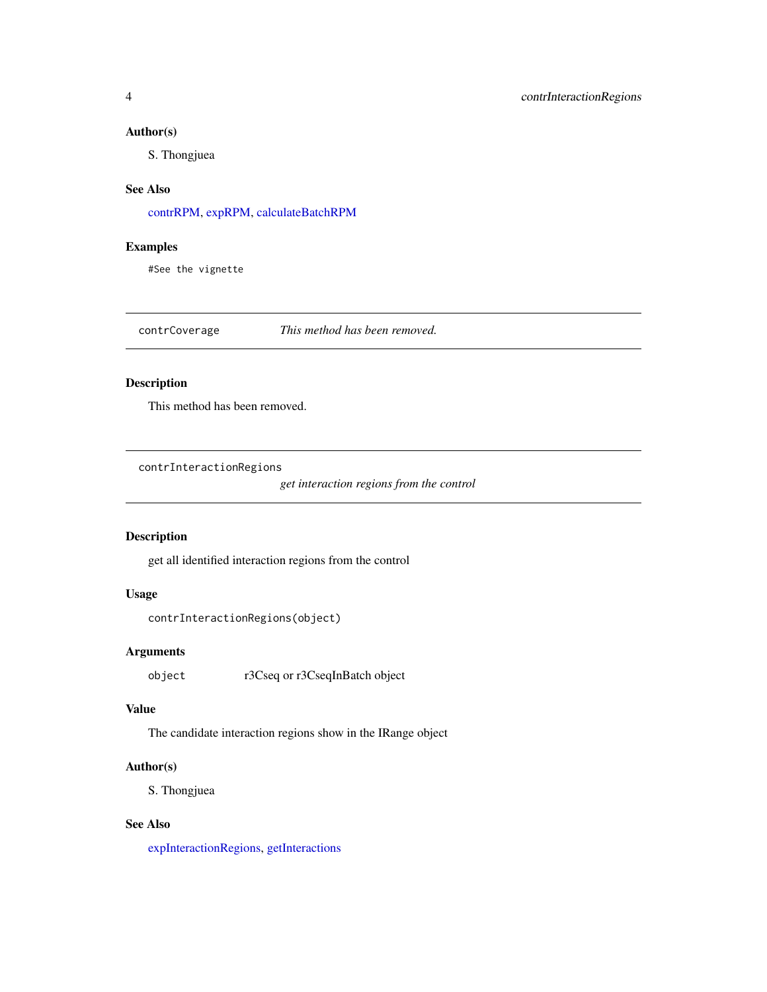#### <span id="page-3-0"></span>Author(s)

S. Thongjuea

## See Also

[contrRPM,](#page-5-1) [expRPM,](#page-11-1) [calculateBatchRPM](#page-2-2)

## Examples

#See the vignette

contrCoverage *This method has been removed.*

## Description

This method has been removed.

<span id="page-3-1"></span>contrInteractionRegions

*get interaction regions from the control*

## Description

get all identified interaction regions from the control

## Usage

```
contrInteractionRegions(object)
```
## Arguments

object r3Cseq or r3CseqInBatch object

#### Value

The candidate interaction regions show in the IRange object

#### Author(s)

S. Thongjuea

### See Also

[expInteractionRegions,](#page-6-1) [getInteractions](#page-18-1)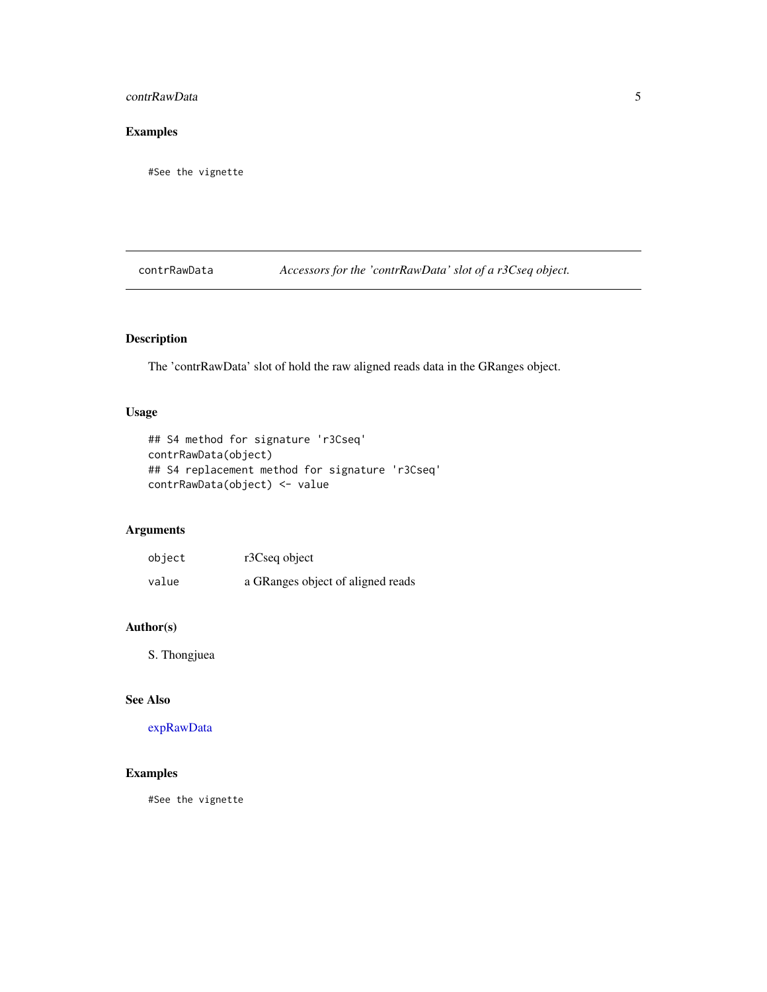## <span id="page-4-0"></span>contrRawData 5

## Examples

#See the vignette

contrRawData *Accessors for the 'contrRawData' slot of a r3Cseq object.*

## Description

The 'contrRawData' slot of hold the raw aligned reads data in the GRanges object.

#### Usage

```
## S4 method for signature 'r3Cseq'
contrRawData(object)
## S4 replacement method for signature 'r3Cseq'
contrRawData(object) <- value
```
## Arguments

| object | r3Cseq object                     |
|--------|-----------------------------------|
| value  | a GRanges object of aligned reads |

## Author(s)

S. Thongjuea

## See Also

[expRawData](#page-10-1)

## Examples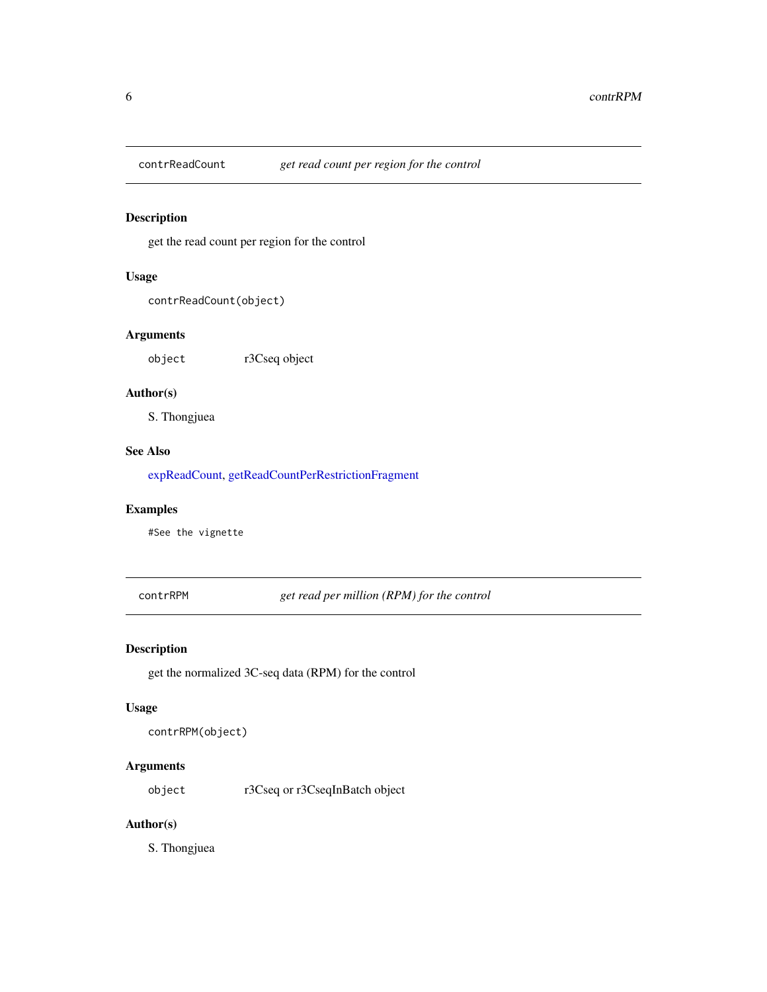<span id="page-5-2"></span><span id="page-5-0"></span>

## Description

get the read count per region for the control

## Usage

```
contrReadCount(object)
```
## Arguments

object r3Cseq object

## Author(s)

S. Thongjuea

## See Also

[expReadCount,](#page-10-2) [getReadCountPerRestrictionFragment](#page-19-1)

## Examples

#See the vignette

<span id="page-5-1"></span>contrRPM *get read per million (RPM) for the control*

## Description

get the normalized 3C-seq data (RPM) for the control

#### Usage

```
contrRPM(object)
```
## Arguments

object r3Cseq or r3CseqInBatch object

## Author(s)

S. Thongjuea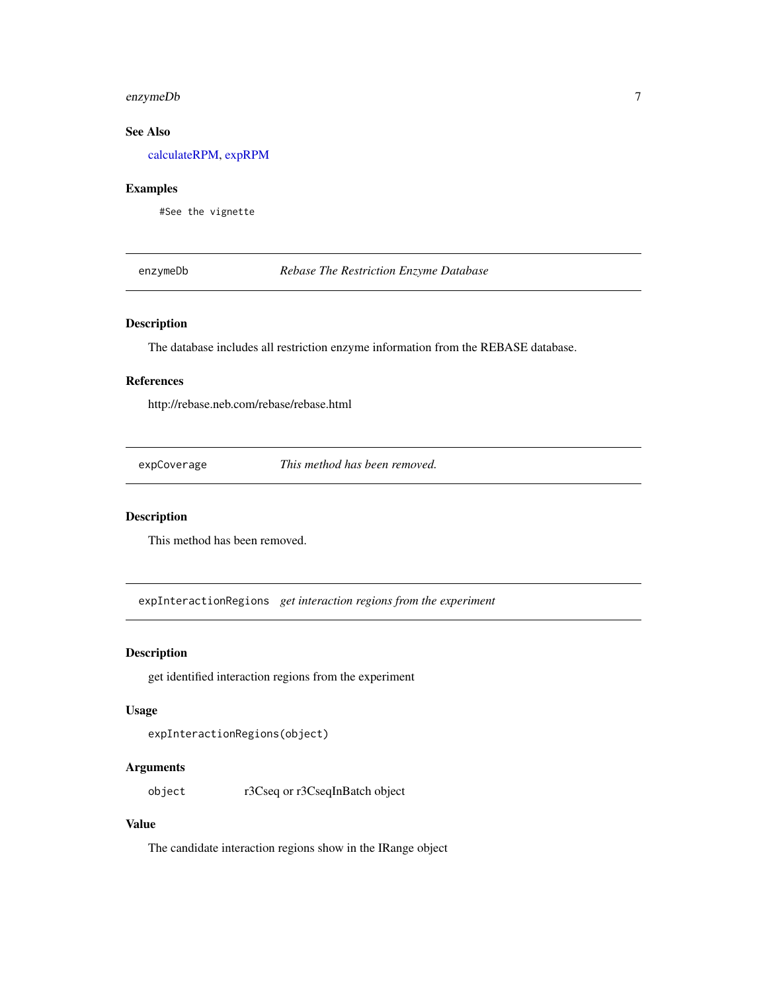## <span id="page-6-0"></span>enzymeDb 7

## See Also

[calculateRPM,](#page-2-1) [expRPM](#page-11-1)

#### Examples

#See the vignette

enzymeDb *Rebase The Restriction Enzyme Database*

## Description

The database includes all restriction enzyme information from the REBASE database.

#### References

http://rebase.neb.com/rebase/rebase.html

expCoverage *This method has been removed.*

## Description

This method has been removed.

<span id="page-6-1"></span>expInteractionRegions *get interaction regions from the experiment*

#### Description

get identified interaction regions from the experiment

#### Usage

```
expInteractionRegions(object)
```
## Arguments

object r3Cseq or r3CseqInBatch object

### Value

The candidate interaction regions show in the IRange object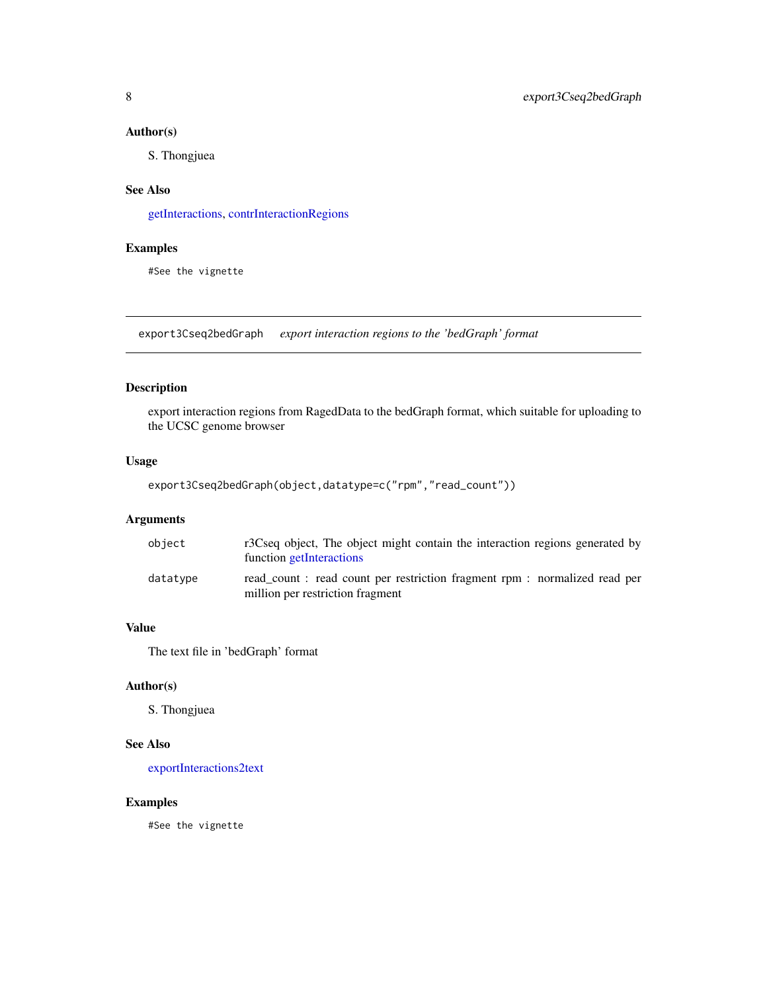#### <span id="page-7-0"></span>Author(s)

S. Thongjuea

#### See Also

[getInteractions,](#page-18-1) [contrInteractionRegions](#page-3-1)

## Examples

#See the vignette

<span id="page-7-1"></span>export3Cseq2bedGraph *export interaction regions to the 'bedGraph' format*

#### Description

export interaction regions from RagedData to the bedGraph format, which suitable for uploading to the UCSC genome browser

## Usage

```
export3Cseq2bedGraph(object,datatype=c("rpm","read_count"))
```
#### Arguments

| object   | r3Cseq object, The object might contain the interaction regions generated by<br>function getInteractions     |
|----------|--------------------------------------------------------------------------------------------------------------|
| datatype | read_count: read count per restriction fragment rpm: normalized read per<br>million per restriction fragment |

## Value

The text file in 'bedGraph' format

#### Author(s)

S. Thongjuea

#### See Also

[exportInteractions2text](#page-9-1)

#### Examples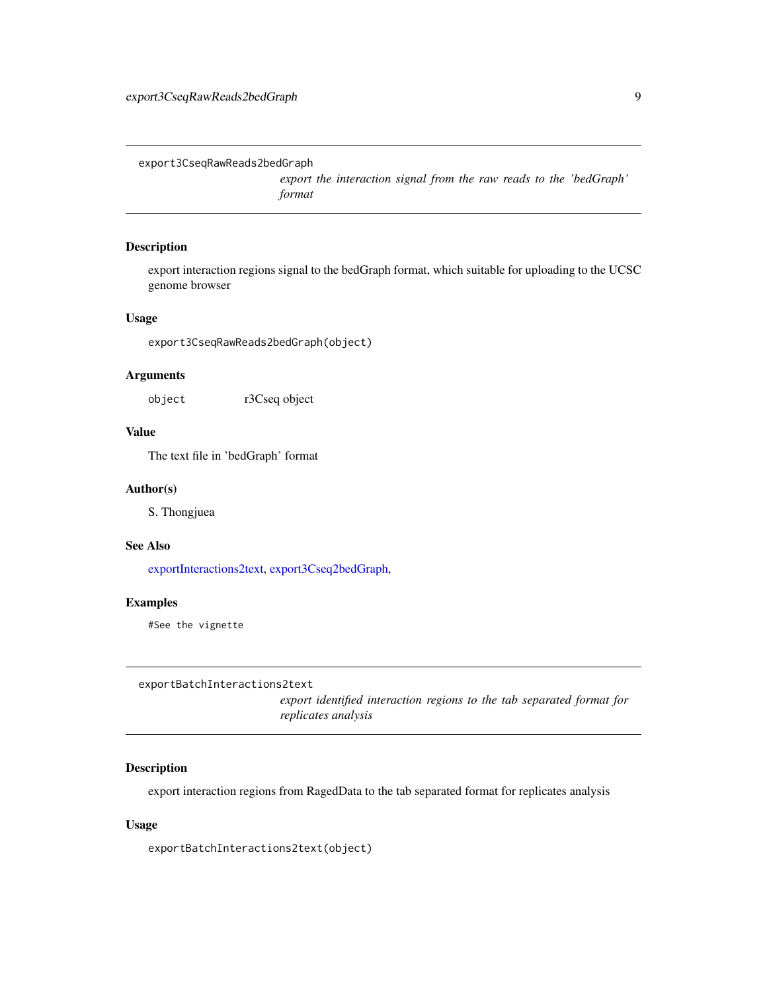<span id="page-8-0"></span>export3CseqRawReads2bedGraph

*export the interaction signal from the raw reads to the 'bedGraph' format*

## Description

export interaction regions signal to the bedGraph format, which suitable for uploading to the UCSC genome browser

#### Usage

export3CseqRawReads2bedGraph(object)

#### Arguments

object r3Cseq object

#### Value

The text file in 'bedGraph' format

#### Author(s)

S. Thongjuea

#### See Also

[exportInteractions2text,](#page-9-1) [export3Cseq2bedGraph,](#page-7-1)

#### Examples

#See the vignette

exportBatchInteractions2text

*export identified interaction regions to the tab separated format for replicates analysis*

## Description

export interaction regions from RagedData to the tab separated format for replicates analysis

#### Usage

exportBatchInteractions2text(object)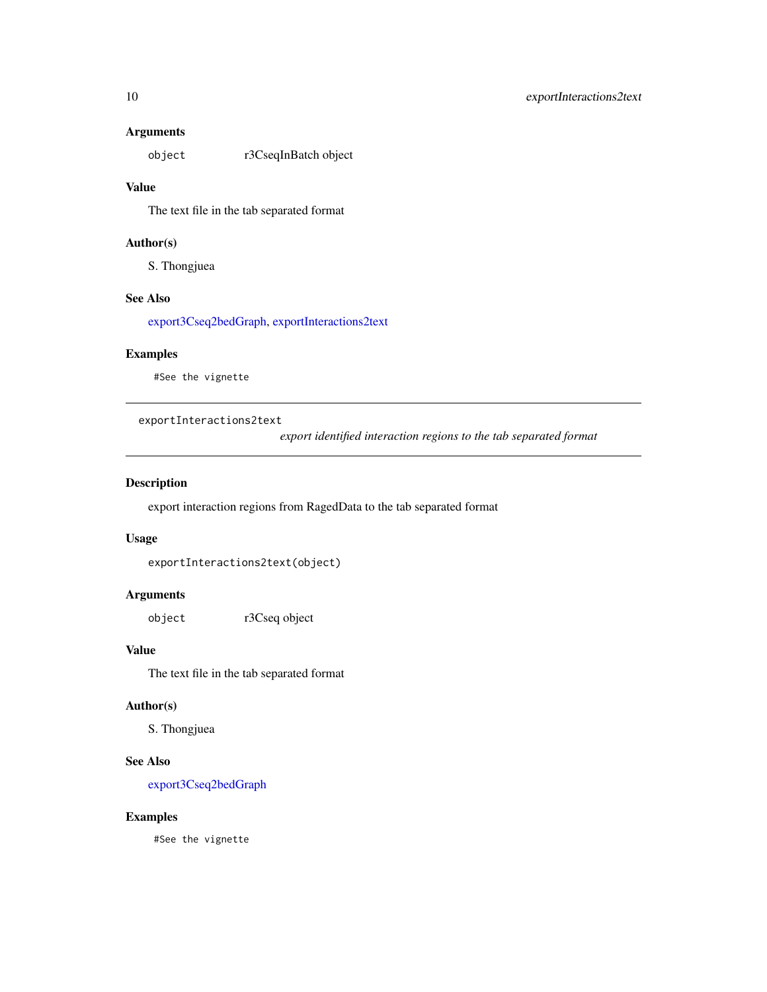#### <span id="page-9-0"></span>Arguments

object r3CseqInBatch object

#### Value

The text file in the tab separated format

## Author(s)

S. Thongjuea

#### See Also

[export3Cseq2bedGraph,](#page-7-1) [exportInteractions2text](#page-9-1)

#### Examples

#See the vignette

<span id="page-9-1"></span>exportInteractions2text

*export identified interaction regions to the tab separated format*

## Description

export interaction regions from RagedData to the tab separated format

#### Usage

```
exportInteractions2text(object)
```
#### Arguments

object r3Cseq object

## Value

The text file in the tab separated format

#### Author(s)

S. Thongjuea

## See Also

[export3Cseq2bedGraph](#page-7-1)

## Examples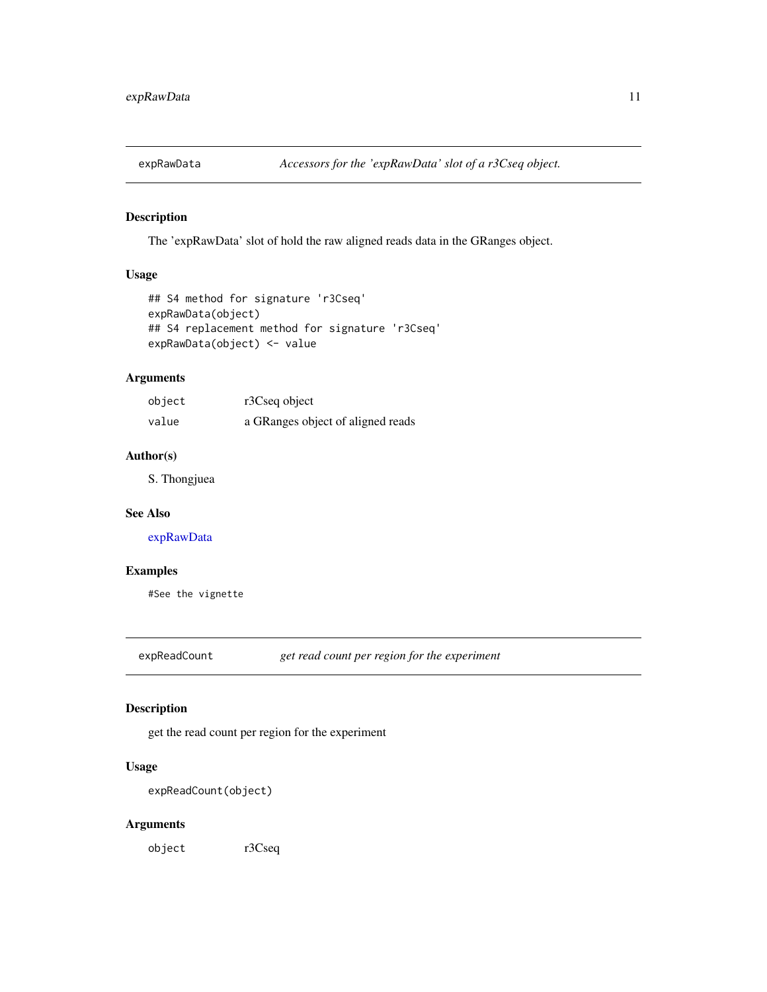<span id="page-10-1"></span><span id="page-10-0"></span>

#### Description

The 'expRawData' slot of hold the raw aligned reads data in the GRanges object.

## Usage

```
## S4 method for signature 'r3Cseq'
expRawData(object)
## S4 replacement method for signature 'r3Cseq'
expRawData(object) <- value
```
#### Arguments

| object | r3Cseq object                     |
|--------|-----------------------------------|
| value  | a GRanges object of aligned reads |

## Author(s)

S. Thongjuea

#### See Also

[expRawData](#page-10-1)

#### Examples

#See the vignette

<span id="page-10-2"></span>expReadCount *get read count per region for the experiment*

## Description

get the read count per region for the experiment

## Usage

expReadCount(object)

## Arguments

object r3Cseq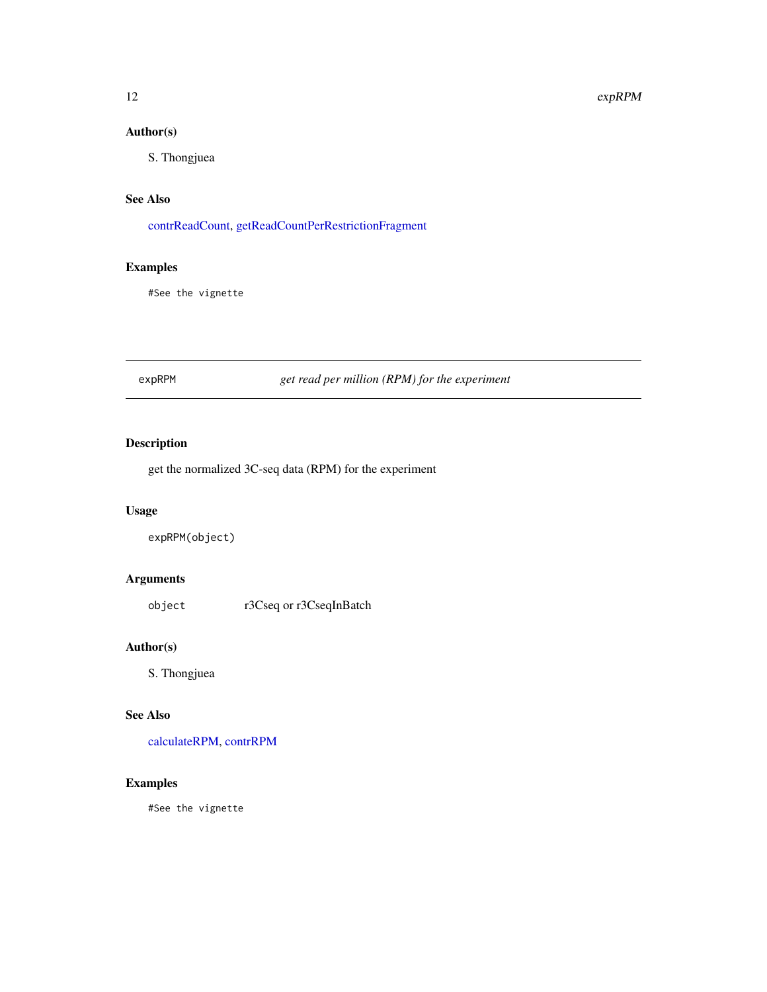## <span id="page-11-0"></span>Author(s)

S. Thongjuea

## See Also

[contrReadCount,](#page-5-2) [getReadCountPerRestrictionFragment](#page-19-1)

## Examples

#See the vignette

## <span id="page-11-1"></span>expRPM *get read per million (RPM) for the experiment*

## Description

get the normalized 3C-seq data (RPM) for the experiment

## Usage

expRPM(object)

## Arguments

object r3Cseq or r3CseqInBatch

#### Author(s)

S. Thongjuea

#### See Also

[calculateRPM,](#page-2-1) [contrRPM](#page-5-1)

#### Examples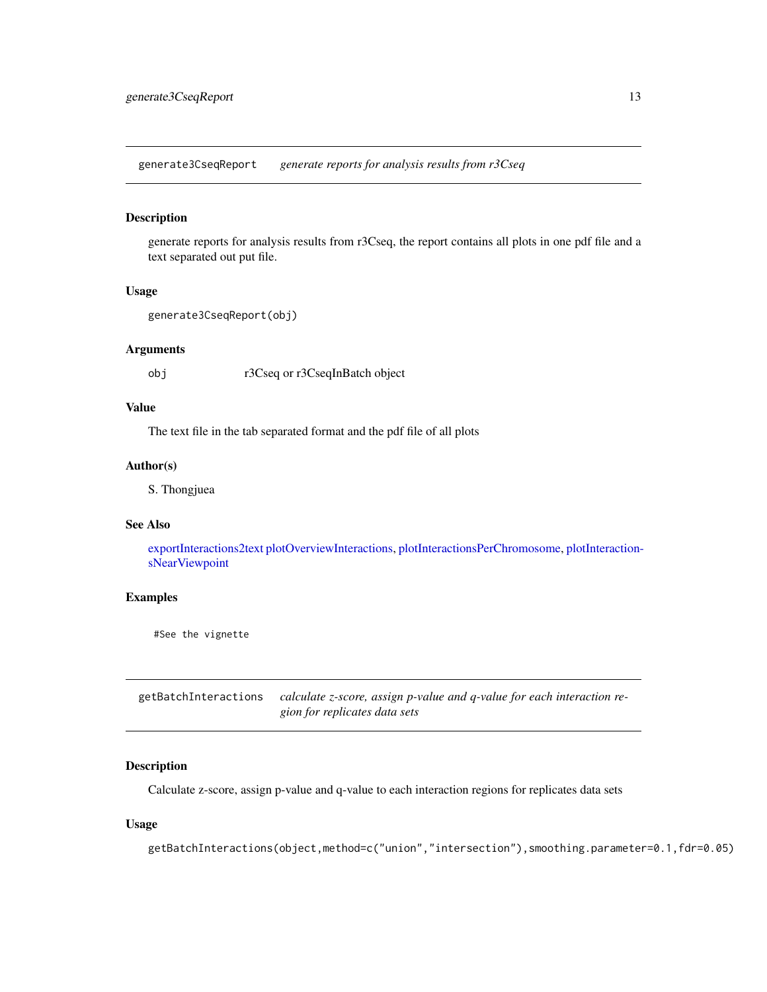<span id="page-12-0"></span>generate3CseqReport *generate reports for analysis results from r3Cseq*

#### Description

generate reports for analysis results from r3Cseq, the report contains all plots in one pdf file and a text separated out put file.

#### Usage

```
generate3CseqReport(obj)
```
#### Arguments

obj r3Cseq or r3CseqInBatch object

## Value

The text file in the tab separated format and the pdf file of all plots

#### Author(s)

S. Thongjuea

#### See Also

[exportInteractions2text](#page-9-1) [plotOverviewInteractions,](#page-25-1) [plotInteractionsPerChromosome,](#page-25-2) [plotInteraction](#page-24-1)[sNearViewpoint](#page-24-1)

## Examples

#See the vignette

<span id="page-12-1"></span>getBatchInteractions *calculate z-score, assign p-value and q-value for each interaction region for replicates data sets*

#### Description

Calculate z-score, assign p-value and q-value to each interaction regions for replicates data sets

#### Usage

getBatchInteractions(object,method=c("union","intersection"),smoothing.parameter=0.1,fdr=0.05)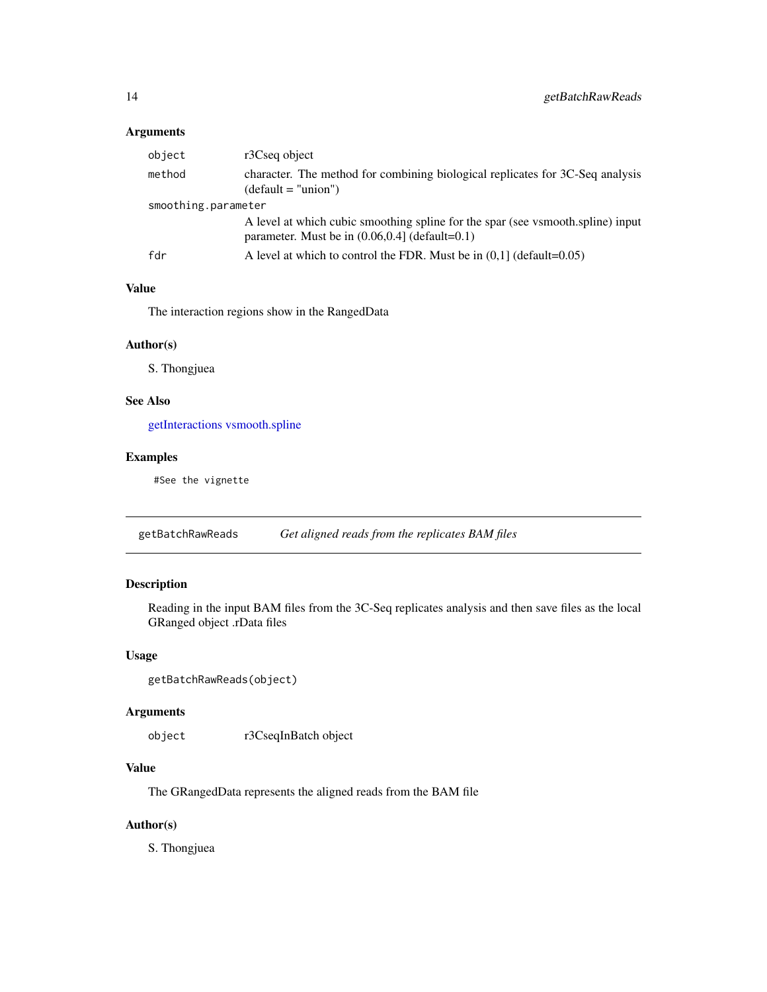#### <span id="page-13-0"></span>Arguments

| object              | r3Cseq object                                                                                                                        |  |
|---------------------|--------------------------------------------------------------------------------------------------------------------------------------|--|
| method              | character. The method for combining biological replicates for 3C-Seq analysis<br>$(detault = "union")$                               |  |
| smoothing.parameter |                                                                                                                                      |  |
|                     | A level at which cubic smoothing spline for the spar (see vsmooth.spline) input<br>parameter. Must be in $(0.06, 0.4)$ (default=0.1) |  |
| fdr                 | A level at which to control the FDR. Must be in $(0.1)$ (default=0.05)                                                               |  |

## Value

The interaction regions show in the RangedData

## Author(s)

S. Thongjuea

## See Also

[getInteractions](#page-18-1) [vsmooth.spline](#page-0-0)

#### Examples

#See the vignette

<span id="page-13-1"></span>getBatchRawReads *Get aligned reads from the replicates BAM files*

## Description

Reading in the input BAM files from the 3C-Seq replicates analysis and then save files as the local GRanged object .rData files

#### Usage

```
getBatchRawReads(object)
```
#### Arguments

object r3CseqInBatch object

## Value

The GRangedData represents the aligned reads from the BAM file

## Author(s)

S. Thongjuea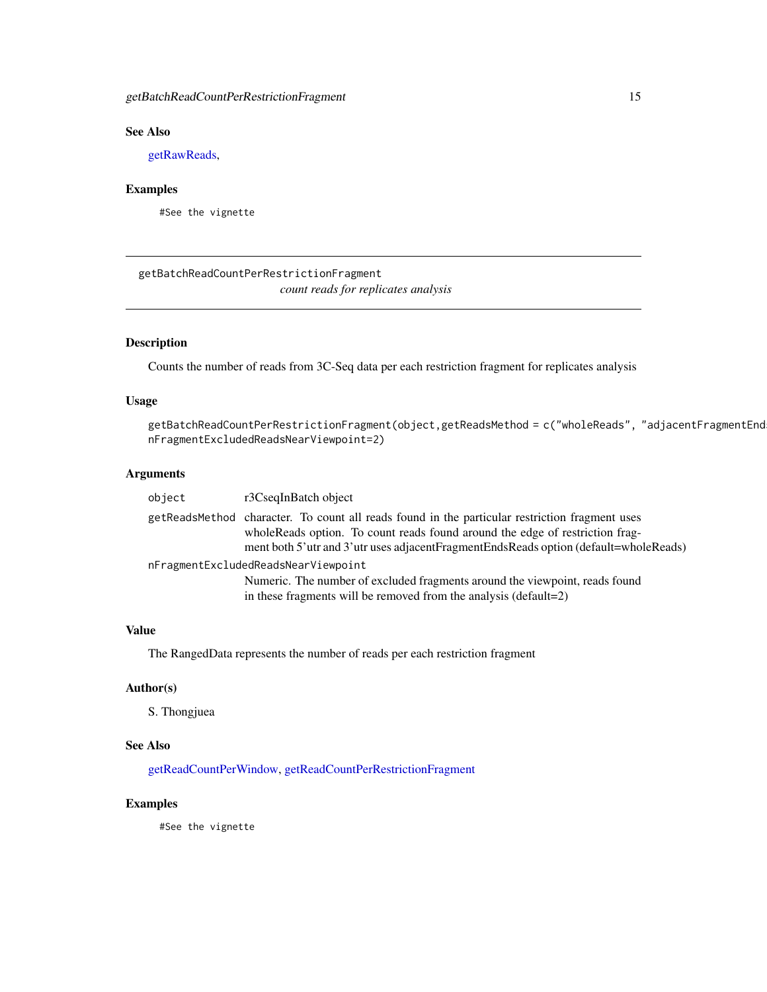## <span id="page-14-0"></span>See Also

[getRawReads,](#page-19-2)

## Examples

#See the vignette

<span id="page-14-1"></span>getBatchReadCountPerRestrictionFragment *count reads for replicates analysis*

#### Description

Counts the number of reads from 3C-Seq data per each restriction fragment for replicates analysis

## Usage

```
getBatchReadCountPerRestrictionFragment(object,getReadsMethod = c("wholeReads", "adjacentFragmentEnd
nFragmentExcludedReadsNearViewpoint=2)
```
#### Arguments

| object                              | r3CseqInBatch object                                                                                                                                                                                                                                                        |  |
|-------------------------------------|-----------------------------------------------------------------------------------------------------------------------------------------------------------------------------------------------------------------------------------------------------------------------------|--|
|                                     | getReadsMethod character. To count all reads found in the particular restriction fragment uses<br>whole Reads option. To count reads found around the edge of restriction frag-<br>ment both 5'utr and 3'utr uses adjacent Fragment Ends Reads option (default=whole Reads) |  |
| nFragmentExcludedReadsNearViewpoint |                                                                                                                                                                                                                                                                             |  |
|                                     | Numeric. The number of excluded fragments around the viewpoint, reads found<br>in these fragments will be removed from the analysis (default=2)                                                                                                                             |  |

#### Value

The RangedData represents the number of reads per each restriction fragment

#### Author(s)

S. Thongjuea

## See Also

[getReadCountPerWindow,](#page-20-1) [getReadCountPerRestrictionFragment](#page-19-1)

#### Examples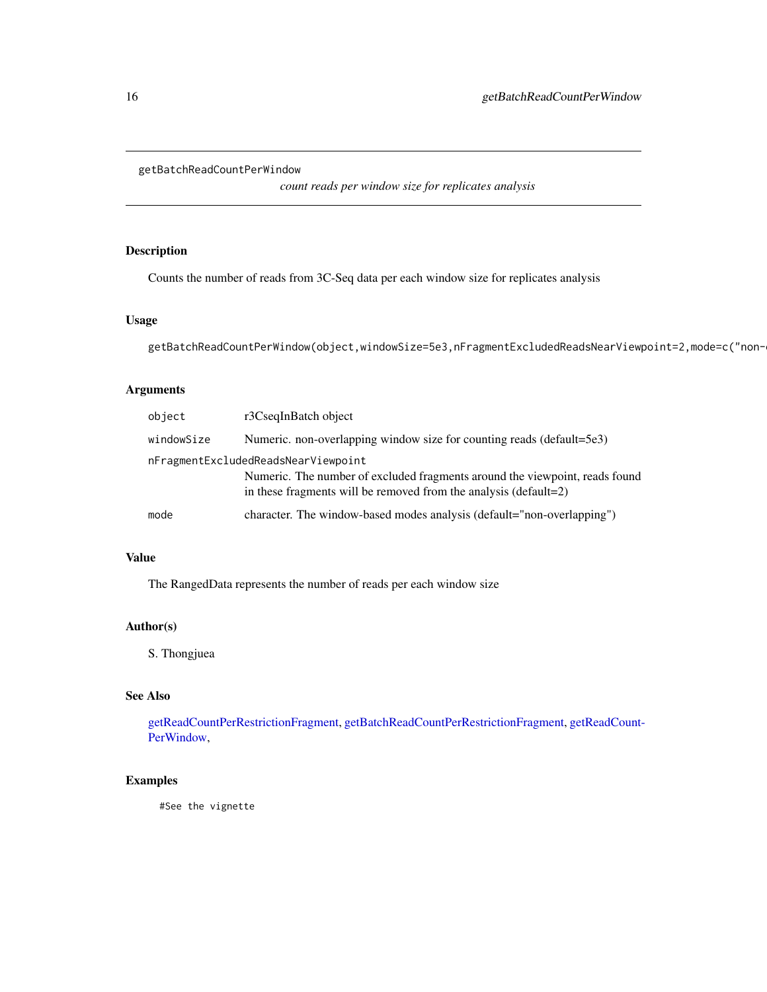## <span id="page-15-0"></span>getBatchReadCountPerWindow

*count reads per window size for replicates analysis*

## Description

Counts the number of reads from 3C-Seq data per each window size for replicates analysis

#### Usage

```
getBatchReadCountPerWindow(object,windowSize=5e3,nFragmentExcludedReadsNearViewpoint=2,mode=c("non-
```
#### Arguments

| object     | r3CseqInBatch object                                                                                                                            |
|------------|-------------------------------------------------------------------------------------------------------------------------------------------------|
| windowSize | Numeric. non-overlapping window size for counting reads (default=5e3)                                                                           |
|            | nFragmentExcludedReadsNearViewpoint                                                                                                             |
|            | Numeric. The number of excluded fragments around the viewpoint, reads found<br>in these fragments will be removed from the analysis (default=2) |
| mode       | character. The window-based modes analysis (default="non-overlapping")                                                                          |

## Value

The RangedData represents the number of reads per each window size

## Author(s)

S. Thongjuea

## See Also

[getReadCountPerRestrictionFragment,](#page-19-1) [getBatchReadCountPerRestrictionFragment,](#page-14-1) [getReadCount-](#page-20-1)[PerWindow,](#page-20-1)

#### Examples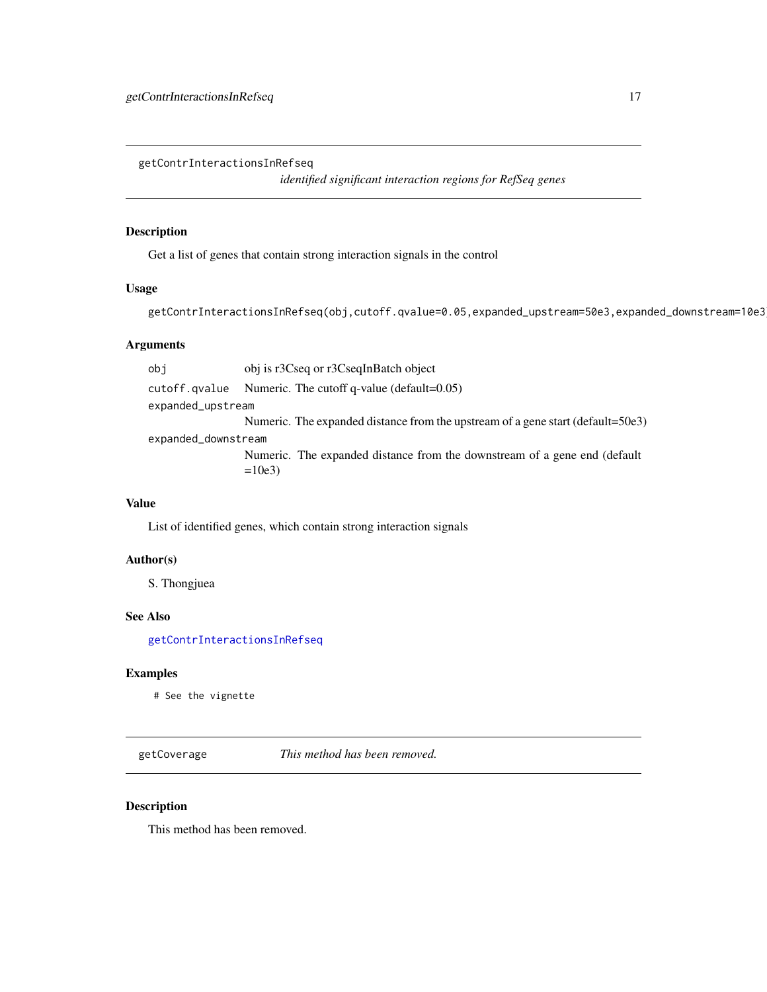<span id="page-16-1"></span><span id="page-16-0"></span>getContrInteractionsInRefseq

*identified significant interaction regions for RefSeq genes*

#### Description

Get a list of genes that contain strong interaction signals in the control

## Usage

getContrInteractionsInRefseq(obj,cutoff.qvalue=0.05,expanded\_upstream=50e3,expanded\_downstream=10e3)

#### Arguments

obj obj is r3Cseq or r3CseqInBatch object cutoff.qvalue Numeric. The cutoff q-value (default=0.05) expanded\_upstream Numeric. The expanded distance from the upstream of a gene start (default=50e3) expanded\_downstream Numeric. The expanded distance from the downstream of a gene end (default  $=10e3$ 

## Value

List of identified genes, which contain strong interaction signals

#### Author(s)

S. Thongjuea

## See Also

[getContrInteractionsInRefseq](#page-16-1)

#### Examples

# See the vignette

getCoverage *This method has been removed.*

#### Description

This method has been removed.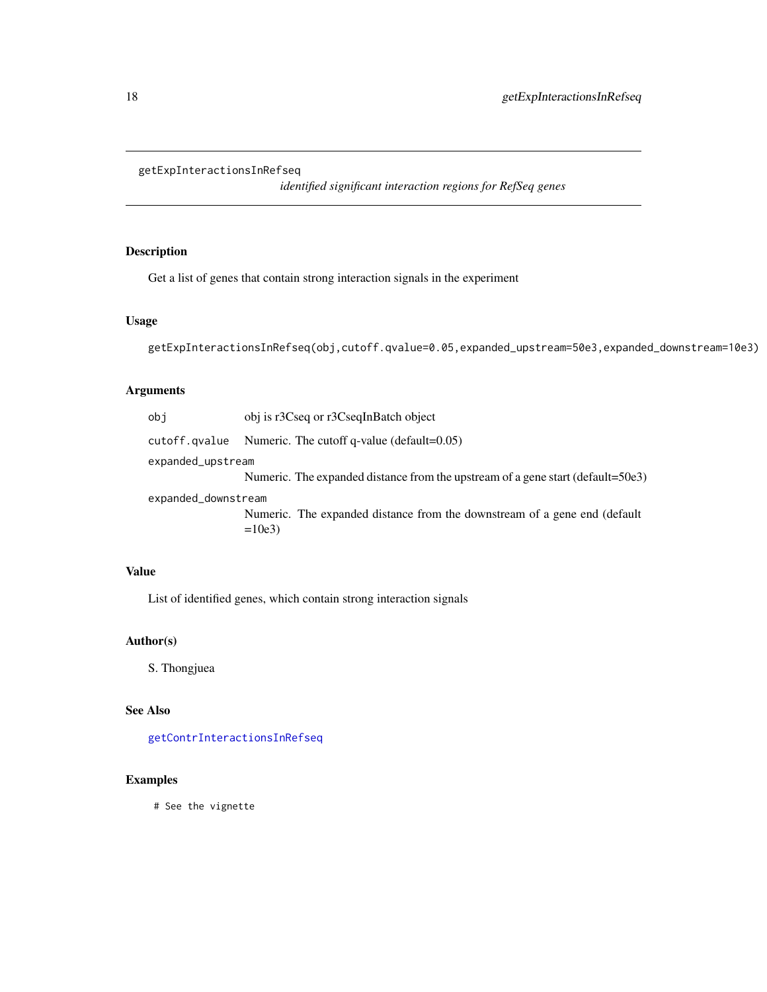## <span id="page-17-0"></span>getExpInteractionsInRefseq

*identified significant interaction regions for RefSeq genes*

## Description

Get a list of genes that contain strong interaction signals in the experiment

## Usage

```
getExpInteractionsInRefseq(obj,cutoff.qvalue=0.05,expanded_upstream=50e3,expanded_downstream=10e3)
```
## Arguments

| obj                 | obj is r3Cseq or r3CseqInBatch object                                           |
|---------------------|---------------------------------------------------------------------------------|
| cutoff.qvalue       | Numeric. The cutoff q-value (default= $0.05$ )                                  |
| expanded_upstream   |                                                                                 |
|                     | Numeric. The expanded distance from the upstream of a gene start (default=50e3) |
| expanded_downstream |                                                                                 |
|                     | Numeric. The expanded distance from the downstream of a gene end (default)      |
|                     | $=10e3$                                                                         |
|                     |                                                                                 |

## Value

List of identified genes, which contain strong interaction signals

#### Author(s)

S. Thongjuea

## See Also

[getContrInteractionsInRefseq](#page-16-1)

#### Examples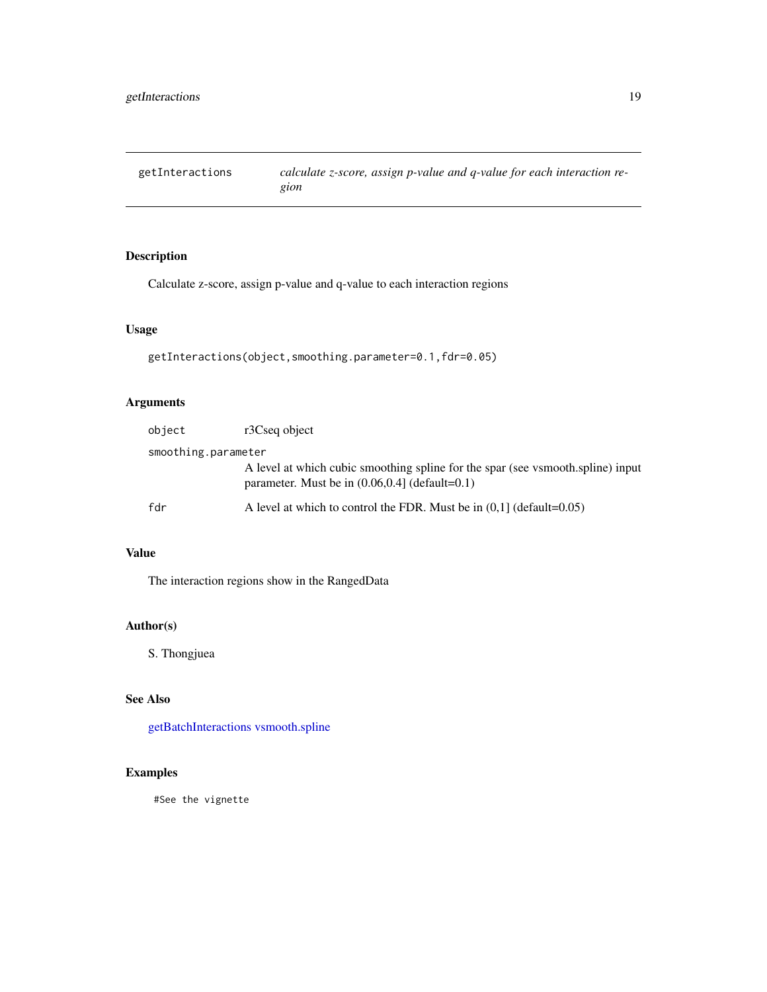<span id="page-18-1"></span><span id="page-18-0"></span>getInteractions *calculate z-score, assign p-value and q-value for each interaction region*

## Description

Calculate z-score, assign p-value and q-value to each interaction regions

#### Usage

getInteractions(object,smoothing.parameter=0.1,fdr=0.05)

## Arguments

| object              | r3Cseq object                                                                                                                        |
|---------------------|--------------------------------------------------------------------------------------------------------------------------------------|
| smoothing.parameter |                                                                                                                                      |
|                     | A level at which cubic smoothing spline for the spar (see vsmooth.spline) input<br>parameter. Must be in $(0.06, 0.4)$ (default=0.1) |
| fdr                 | A level at which to control the FDR. Must be in $(0.1)$ (default=0.05)                                                               |

## Value

The interaction regions show in the RangedData

## Author(s)

S. Thongjuea

## See Also

[getBatchInteractions](#page-12-1) [vsmooth.spline](#page-0-0)

## Examples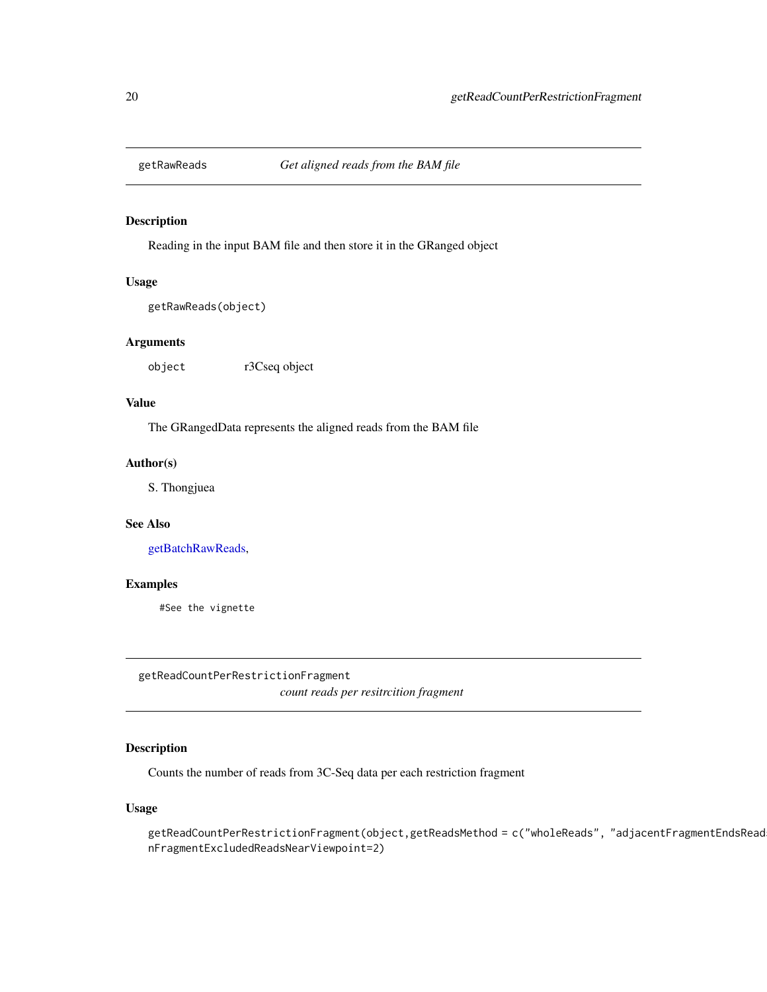<span id="page-19-2"></span><span id="page-19-0"></span>

## Description

Reading in the input BAM file and then store it in the GRanged object

## Usage

```
getRawReads(object)
```
#### Arguments

object r3Cseq object

## Value

The GRangedData represents the aligned reads from the BAM file

## Author(s)

S. Thongjuea

#### See Also

[getBatchRawReads,](#page-13-1)

#### Examples

#See the vignette

<span id="page-19-1"></span>getReadCountPerRestrictionFragment *count reads per resitrcition fragment*

## Description

Counts the number of reads from 3C-Seq data per each restriction fragment

#### Usage

```
getReadCountPerRestrictionFragment(object,getReadsMethod = c("wholeReads", "adjacentFragmentEndsRead
nFragmentExcludedReadsNearViewpoint=2)
```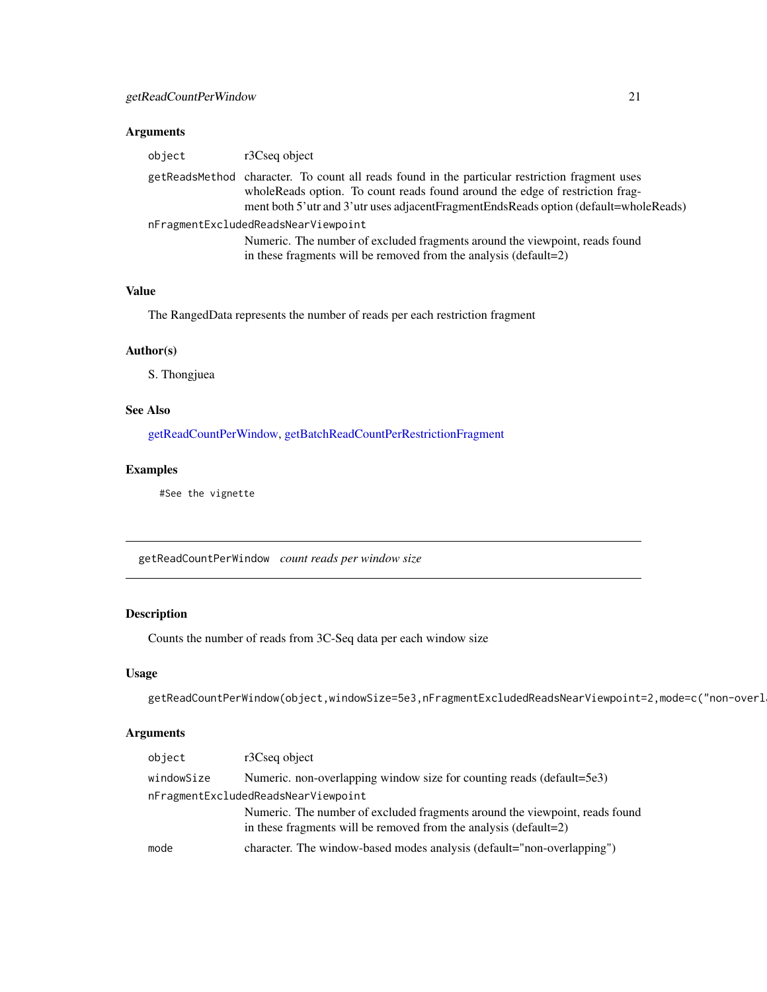## <span id="page-20-0"></span>Arguments

| object                              | r3Cseq object                                                                                                                                                                                                                                                           |  |
|-------------------------------------|-------------------------------------------------------------------------------------------------------------------------------------------------------------------------------------------------------------------------------------------------------------------------|--|
|                                     | getReadsMethod character. To count all reads found in the particular restriction fragment uses<br>whole Reads option. To count reads found around the edge of restriction frag-<br>ment both 5'utr and 3'utr uses adjacentFragmentEndsReads option (default=wholeReads) |  |
| nFragmentExcludedReadsNearViewpoint |                                                                                                                                                                                                                                                                         |  |
|                                     | Numeric. The number of excluded fragments around the viewpoint, reads found<br>in these fragments will be removed from the analysis (default=2)                                                                                                                         |  |

#### Value

The RangedData represents the number of reads per each restriction fragment

## Author(s)

S. Thongjuea

#### See Also

[getReadCountPerWindow,](#page-20-1) [getBatchReadCountPerRestrictionFragment](#page-14-1)

#### Examples

#See the vignette

<span id="page-20-1"></span>getReadCountPerWindow *count reads per window size*

## Description

Counts the number of reads from 3C-Seq data per each window size

## Usage

getReadCountPerWindow(object,windowSize=5e3,nFragmentExcludedReadsNearViewpoint=2,mode=c("non-overl

## Arguments

| object     | r3Cseq object                                                               |
|------------|-----------------------------------------------------------------------------|
| windowSize | Numeric. non-overlapping window size for counting reads (default=5e3)       |
|            | nFragmentExcludedReadsNearViewpoint                                         |
|            | Numeric. The number of excluded fragments around the viewpoint, reads found |
|            | in these fragments will be removed from the analysis (default=2)            |
| mode       | character. The window-based modes analysis (default="non-overlapping")      |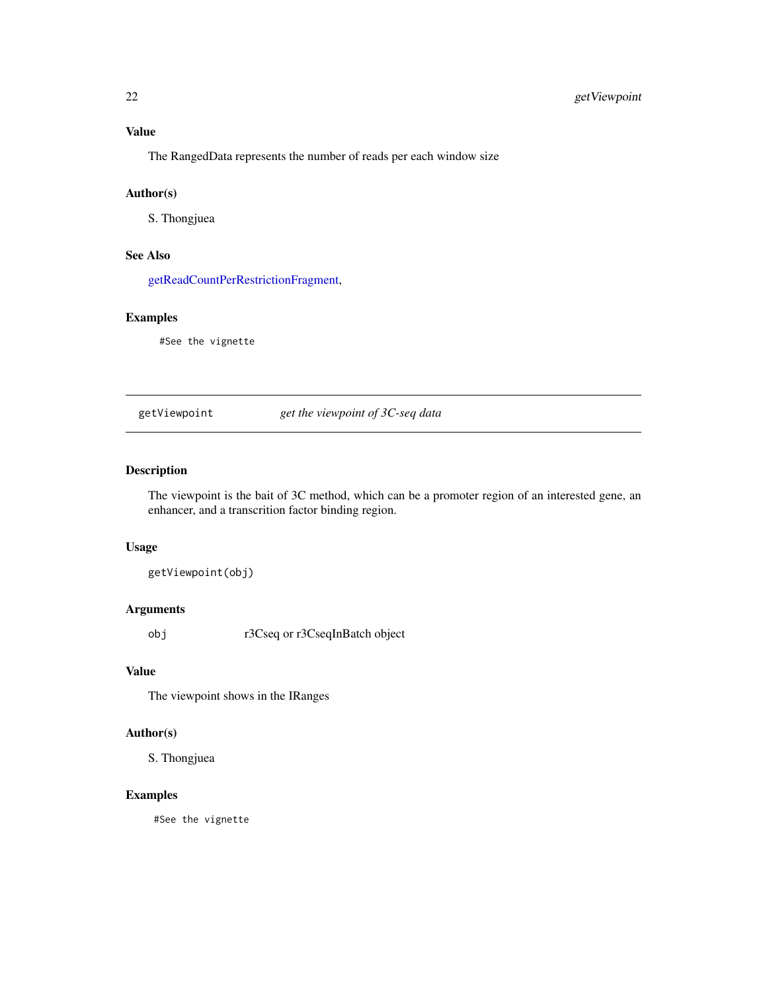## <span id="page-21-0"></span>Value

The RangedData represents the number of reads per each window size

## Author(s)

S. Thongjuea

## See Also

[getReadCountPerRestrictionFragment,](#page-19-1)

## Examples

#See the vignette

getViewpoint *get the viewpoint of 3C-seq data*

#### Description

The viewpoint is the bait of 3C method, which can be a promoter region of an interested gene, an enhancer, and a transcrition factor binding region.

#### Usage

getViewpoint(obj)

## Arguments

obj r3Cseq or r3CseqInBatch object

## Value

The viewpoint shows in the IRanges

#### Author(s)

S. Thongjuea

## Examples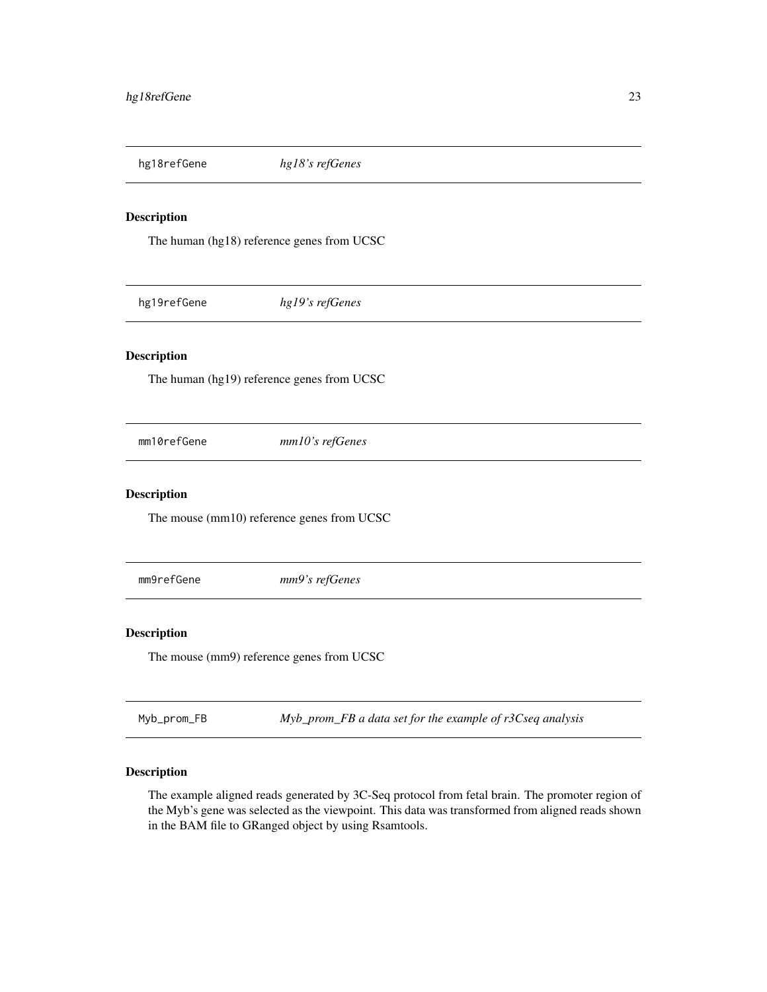<span id="page-22-0"></span>

## Description

The human (hg18) reference genes from UCSC

hg19refGene *hg19's refGenes*

## Description

The human (hg19) reference genes from UCSC

mm10refGene *mm10's refGenes*

## Description

The mouse (mm10) reference genes from UCSC

mm9refGene *mm9's refGenes*

## Description

The mouse (mm9) reference genes from UCSC

Myb\_prom\_FB *Myb\_prom\_FB a data set for the example of r3Cseq analysis*

## Description

The example aligned reads generated by 3C-Seq protocol from fetal brain. The promoter region of the Myb's gene was selected as the viewpoint. This data was transformed from aligned reads shown in the BAM file to GRanged object by using Rsamtools.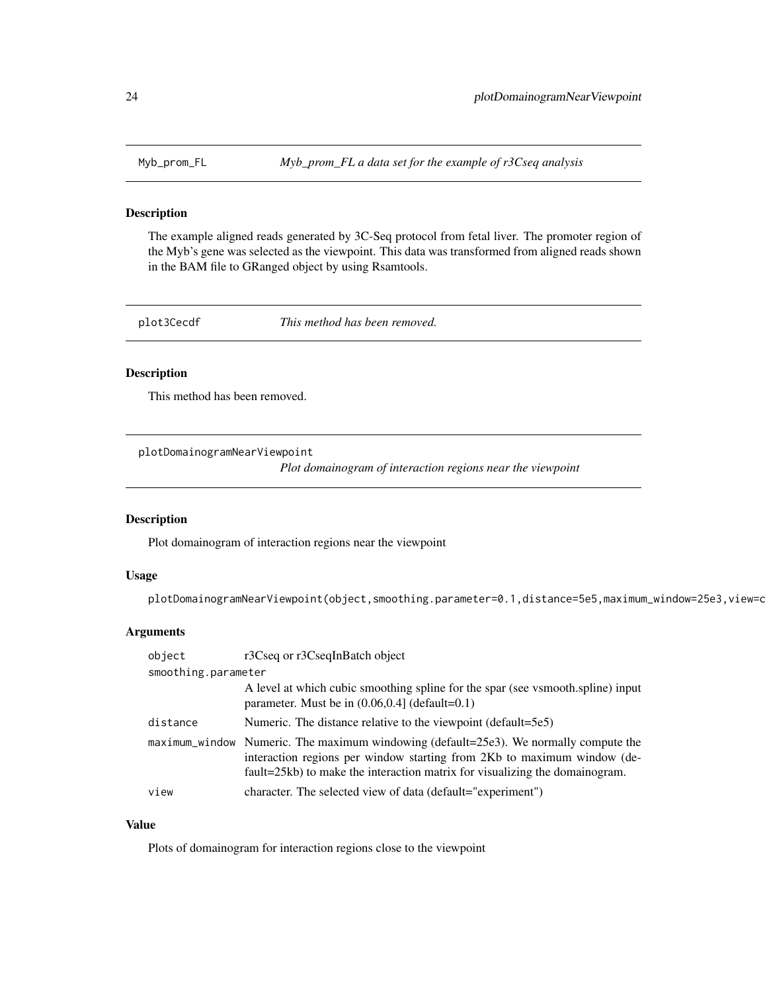<span id="page-23-0"></span>Myb\_prom\_FL *Myb\_prom\_FL a data set for the example of r3Cseq analysis*

## Description

The example aligned reads generated by 3C-Seq protocol from fetal liver. The promoter region of the Myb's gene was selected as the viewpoint. This data was transformed from aligned reads shown in the BAM file to GRanged object by using Rsamtools.

plot3Cecdf *This method has been removed.*

## Description

This method has been removed.

<span id="page-23-1"></span>plotDomainogramNearViewpoint

*Plot domainogram of interaction regions near the viewpoint*

#### Description

Plot domainogram of interaction regions near the viewpoint

#### Usage

plotDomainogramNearViewpoint(object,smoothing.parameter=0.1,distance=5e5,maximum\_window=25e3,view=c

#### Arguments

| object              | r3Cseq or r3CseqInBatch object                                                                                                                                                                                                                  |  |
|---------------------|-------------------------------------------------------------------------------------------------------------------------------------------------------------------------------------------------------------------------------------------------|--|
| smoothing.parameter |                                                                                                                                                                                                                                                 |  |
|                     | A level at which cubic smoothing spline for the spar (see vsmooth.spline) input<br>parameter. Must be in $(0.06, 0.4)$ (default=0.1)                                                                                                            |  |
| distance            | Numeric. The distance relative to the viewpoint (default=5e5)                                                                                                                                                                                   |  |
|                     | maximum_window Numeric. The maximum windowing (default=25e3). We normally compute the<br>interaction regions per window starting from 2Kb to maximum window (de-<br>fault=25kb) to make the interaction matrix for visualizing the domainogram. |  |
| view                | character. The selected view of data (default="experiment")                                                                                                                                                                                     |  |

### Value

Plots of domainogram for interaction regions close to the viewpoint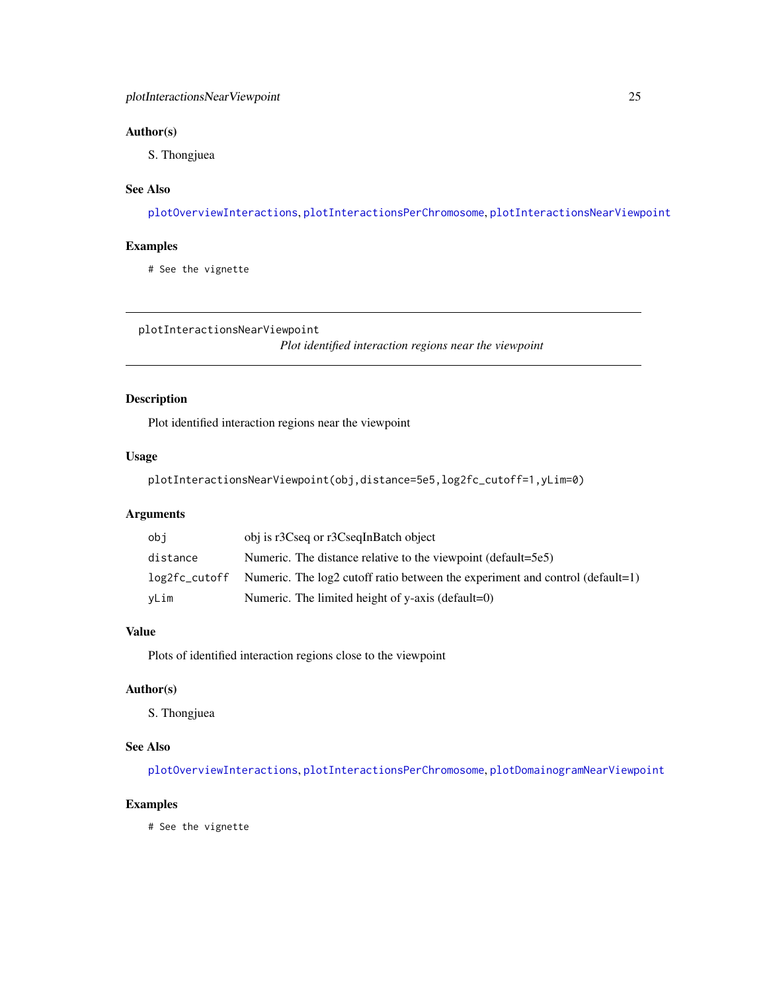## <span id="page-24-0"></span>Author(s)

S. Thongjuea

## See Also

[plotOverviewInteractions](#page-25-1), [plotInteractionsPerChromosome](#page-25-2), [plotInteractionsNearViewpoint](#page-24-1)

## Examples

# See the vignette

<span id="page-24-1"></span>plotInteractionsNearViewpoint

*Plot identified interaction regions near the viewpoint*

## Description

Plot identified interaction regions near the viewpoint

## Usage

plotInteractionsNearViewpoint(obj,distance=5e5,log2fc\_cutoff=1,yLim=0)

## Arguments

| obi           | obj is r3Cseq or r3CseqInBatch object                                           |
|---------------|---------------------------------------------------------------------------------|
| distance      | Numeric. The distance relative to the viewpoint (default=5e5)                   |
| log2fc_cutoff | Numeric. The $log2$ cutoff ratio between the experiment and control (default=1) |
| yLim          | Numeric. The limited height of y-axis (default=0)                               |

#### Value

Plots of identified interaction regions close to the viewpoint

## Author(s)

S. Thongjuea

## See Also

[plotOverviewInteractions](#page-25-1), [plotInteractionsPerChromosome](#page-25-2), [plotDomainogramNearViewpoint](#page-23-1)

#### Examples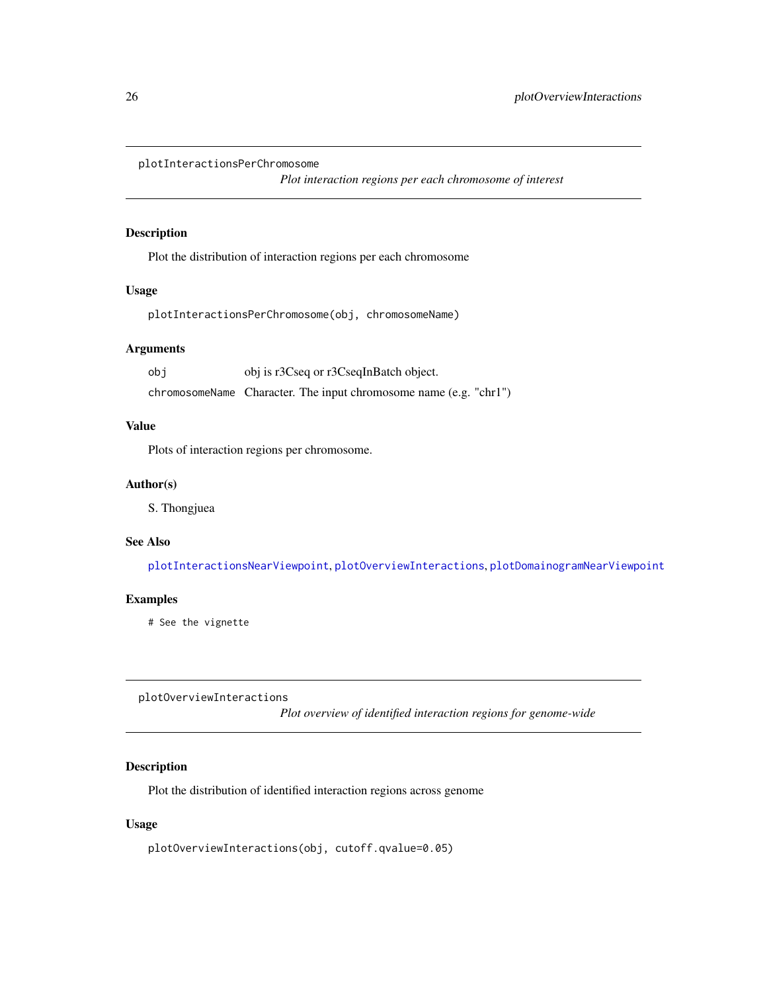<span id="page-25-2"></span><span id="page-25-0"></span>plotInteractionsPerChromosome

*Plot interaction regions per each chromosome of interest*

## Description

Plot the distribution of interaction regions per each chromosome

#### Usage

plotInteractionsPerChromosome(obj, chromosomeName)

## Arguments

obj obj is r3Cseq or r3CseqInBatch object. chromosomeName Character. The input chromosome name (e.g. "chr1")

#### Value

Plots of interaction regions per chromosome.

#### Author(s)

S. Thongjuea

#### See Also

[plotInteractionsNearViewpoint](#page-24-1), [plotOverviewInteractions](#page-25-1), [plotDomainogramNearViewpoint](#page-23-1)

#### Examples

# See the vignette

<span id="page-25-1"></span>plotOverviewInteractions

*Plot overview of identified interaction regions for genome-wide*

## Description

Plot the distribution of identified interaction regions across genome

### Usage

plotOverviewInteractions(obj, cutoff.qvalue=0.05)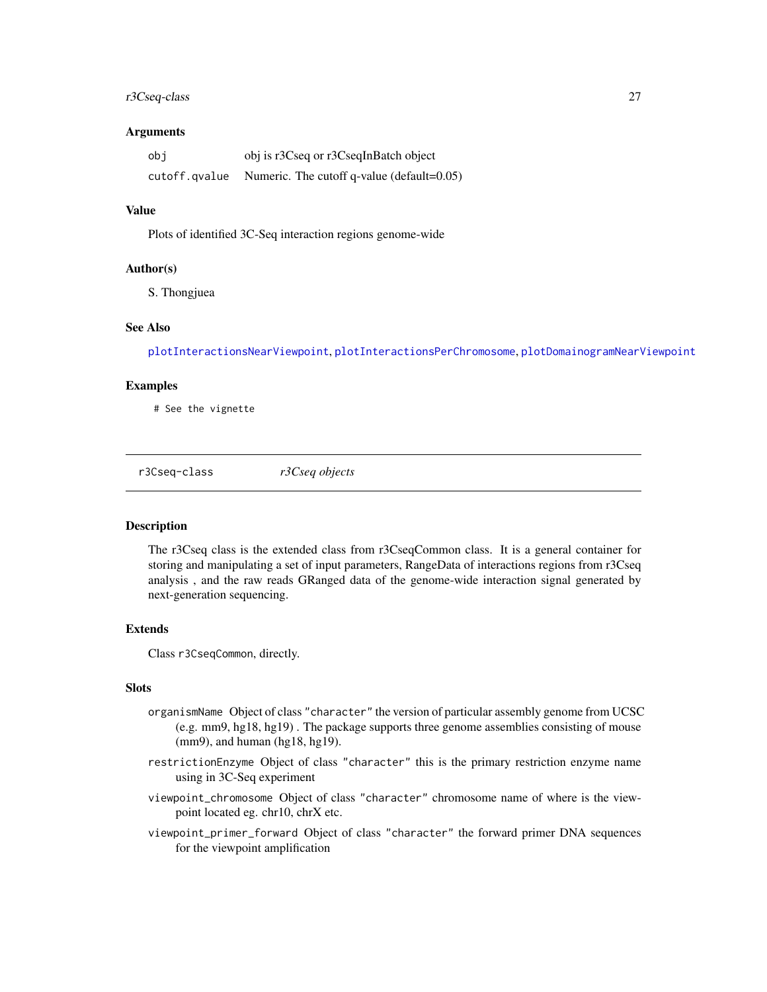## <span id="page-26-0"></span>r3Cseq-class 27

#### **Arguments**

| obi           | obj is r3Cseq or r3CseqInBatch object          |
|---------------|------------------------------------------------|
| cutoff.qvalue | Numeric. The cutoff q-value (default= $0.05$ ) |

#### Value

Plots of identified 3C-Seq interaction regions genome-wide

#### Author(s)

S. Thongjuea

#### See Also

[plotInteractionsNearViewpoint](#page-24-1), [plotInteractionsPerChromosome](#page-25-2), [plotDomainogramNearViewpoint](#page-23-1)

#### Examples

# See the vignette

r3Cseq-class *r3Cseq objects*

#### <span id="page-26-1"></span>**Description**

The r3Cseq class is the extended class from r3CseqCommon class. It is a general container for storing and manipulating a set of input parameters, RangeData of interactions regions from r3Cseq analysis , and the raw reads GRanged data of the genome-wide interaction signal generated by next-generation sequencing.

#### Extends

Class r3CseqCommon, directly.

## Slots

- organismName Object of class "character" the version of particular assembly genome from UCSC (e.g. mm9, hg18, hg19) . The package supports three genome assemblies consisting of mouse (mm9), and human (hg18, hg19).
- restrictionEnzyme Object of class "character" this is the primary restriction enzyme name using in 3C-Seq experiment
- viewpoint\_chromosome Object of class "character" chromosome name of where is the viewpoint located eg. chr10, chrX etc.
- viewpoint\_primer\_forward Object of class "character" the forward primer DNA sequences for the viewpoint amplification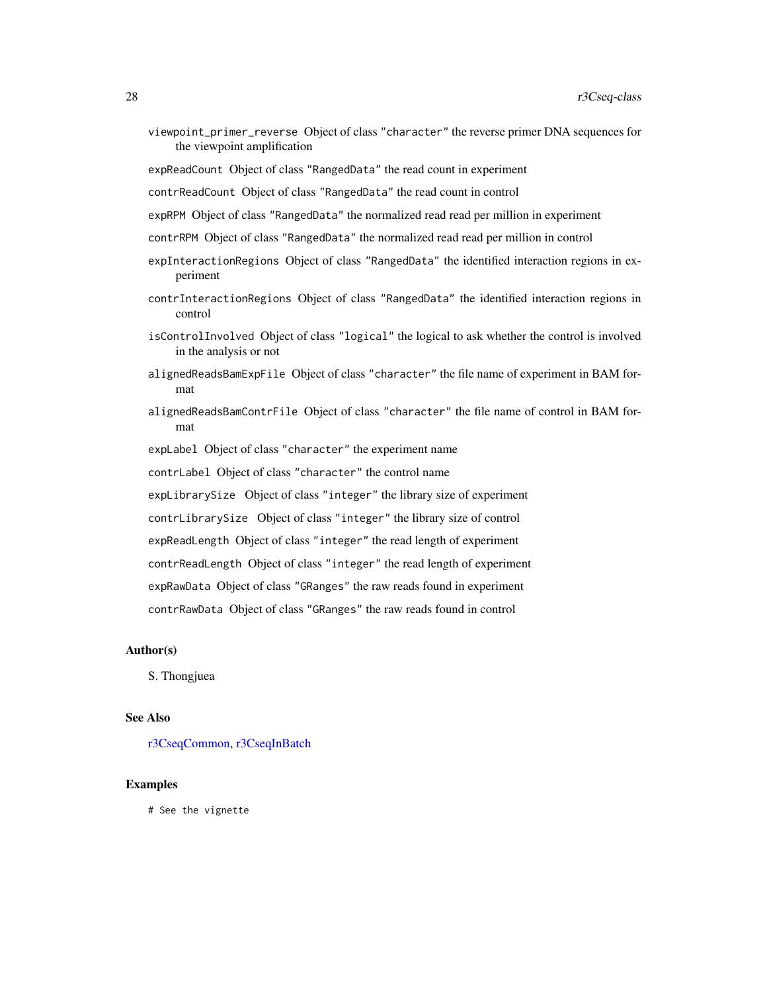<span id="page-27-0"></span>viewpoint\_primer\_reverse Object of class "character" the reverse primer DNA sequences for the viewpoint amplification

expReadCount Object of class "RangedData" the read count in experiment

contrReadCount Object of class "RangedData" the read count in control

expRPM Object of class "RangedData" the normalized read read per million in experiment

- contrRPM Object of class "RangedData" the normalized read read per million in control
- expInteractionRegions Object of class "RangedData" the identified interaction regions in experiment
- contrInteractionRegions Object of class "RangedData" the identified interaction regions in control
- isControlInvolved Object of class "logical" the logical to ask whether the control is involved in the analysis or not
- alignedReadsBamExpFile Object of class "character" the file name of experiment in BAM format
- alignedReadsBamContrFile Object of class "character" the file name of control in BAM format

expLabel Object of class "character" the experiment name

contrLabel Object of class "character" the control name

expLibrarySize Object of class "integer" the library size of experiment

contrLibrarySize Object of class "integer" the library size of control

expReadLength Object of class "integer" the read length of experiment

contrReadLength Object of class "integer" the read length of experiment

expRawData Object of class "GRanges" the raw reads found in experiment

contrRawData Object of class "GRanges" the raw reads found in control

#### Author(s)

S. Thongjuea

#### See Also

[r3CseqCommon,](#page-28-1) [r3CseqInBatch](#page-29-1)

#### Examples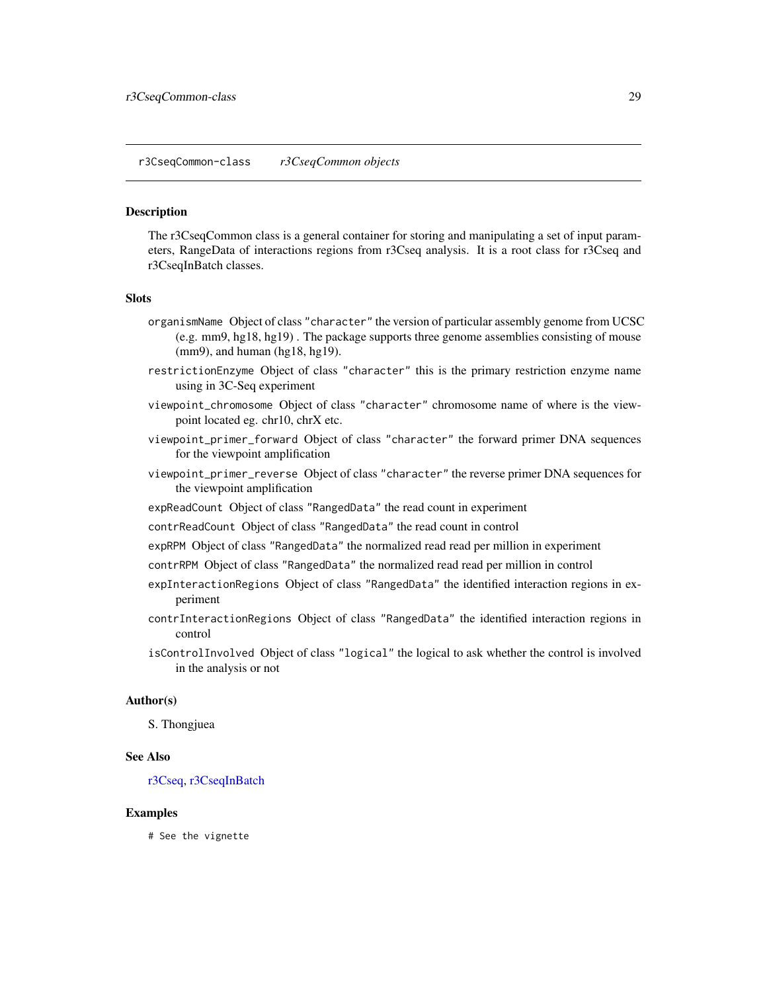<span id="page-28-0"></span>r3CseqCommon-class *r3CseqCommon objects*

#### <span id="page-28-1"></span>**Description**

The r3CseqCommon class is a general container for storing and manipulating a set of input parameters, RangeData of interactions regions from r3Cseq analysis. It is a root class for r3Cseq and r3CseqInBatch classes.

#### **Slots**

- organismName Object of class "character" the version of particular assembly genome from UCSC (e.g. mm9, hg18, hg19) . The package supports three genome assemblies consisting of mouse (mm9), and human (hg18, hg19).
- restrictionEnzyme Object of class "character" this is the primary restriction enzyme name using in 3C-Seq experiment
- viewpoint\_chromosome Object of class "character" chromosome name of where is the viewpoint located eg. chr10, chrX etc.
- viewpoint\_primer\_forward Object of class "character" the forward primer DNA sequences for the viewpoint amplification
- viewpoint\_primer\_reverse Object of class "character" the reverse primer DNA sequences for the viewpoint amplification
- expReadCount Object of class "RangedData" the read count in experiment
- contrReadCount Object of class "RangedData" the read count in control
- expRPM Object of class "RangedData" the normalized read read per million in experiment
- contrRPM Object of class "RangedData" the normalized read read per million in control
- expInteractionRegions Object of class "RangedData" the identified interaction regions in experiment
- contrInteractionRegions Object of class "RangedData" the identified interaction regions in control
- isControlInvolved Object of class "logical" the logical to ask whether the control is involved in the analysis or not

#### Author(s)

S. Thongjuea

#### See Also

[r3Cseq,](#page-26-1) [r3CseqInBatch](#page-29-1)

#### Examples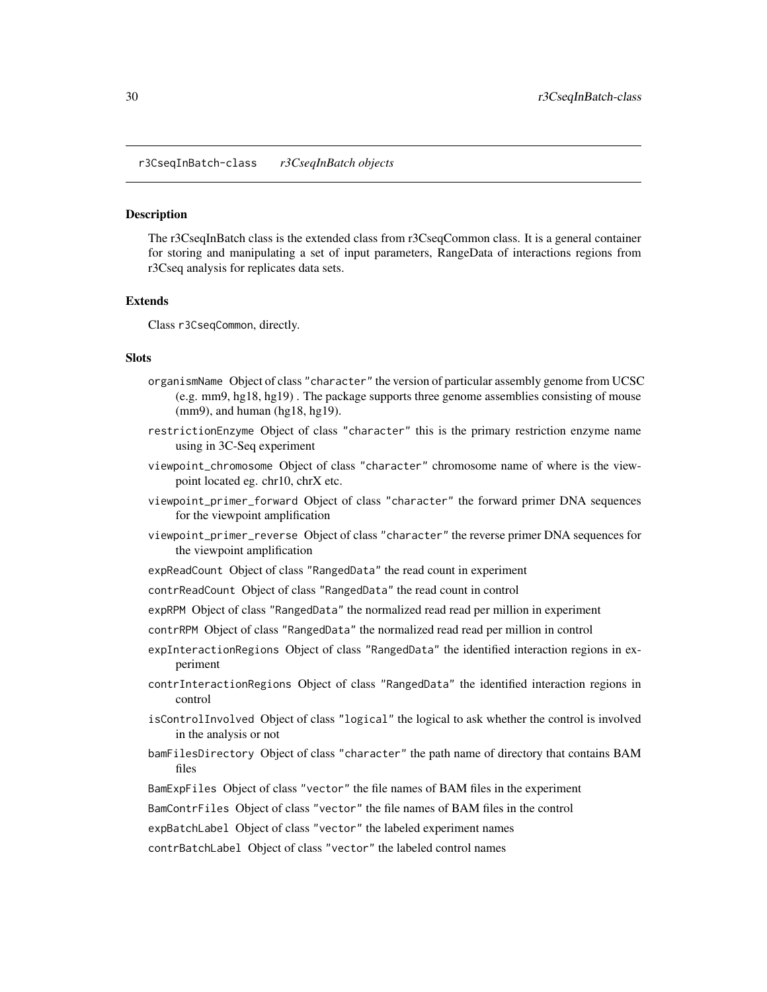<span id="page-29-0"></span>r3CseqInBatch-class *r3CseqInBatch objects*

#### <span id="page-29-1"></span>**Description**

The r3CseqInBatch class is the extended class from r3CseqCommon class. It is a general container for storing and manipulating a set of input parameters, RangeData of interactions regions from r3Cseq analysis for replicates data sets.

#### Extends

Class r3CseqCommon, directly.

#### Slots

- organismName Object of class "character" the version of particular assembly genome from UCSC (e.g. mm9, hg18, hg19) . The package supports three genome assemblies consisting of mouse (mm9), and human (hg18, hg19).
- restrictionEnzyme Object of class "character" this is the primary restriction enzyme name using in 3C-Seq experiment
- viewpoint\_chromosome Object of class "character" chromosome name of where is the viewpoint located eg. chr10, chrX etc.
- viewpoint\_primer\_forward Object of class "character" the forward primer DNA sequences for the viewpoint amplification
- viewpoint\_primer\_reverse Object of class "character" the reverse primer DNA sequences for the viewpoint amplification
- expReadCount Object of class "RangedData" the read count in experiment
- contrReadCount Object of class "RangedData" the read count in control
- expRPM Object of class "RangedData" the normalized read read per million in experiment
- contrRPM Object of class "RangedData" the normalized read read per million in control
- expInteractionRegions Object of class "RangedData" the identified interaction regions in experiment
- contrInteractionRegions Object of class "RangedData" the identified interaction regions in control
- isControlInvolved Object of class "logical" the logical to ask whether the control is involved in the analysis or not
- bamFilesDirectory Object of class "character" the path name of directory that contains BAM files
- BamExpFiles Object of class "vector" the file names of BAM files in the experiment
- BamContrFiles Object of class "vector" the file names of BAM files in the control

expBatchLabel Object of class "vector" the labeled experiment names

contrBatchLabel Object of class "vector" the labeled control names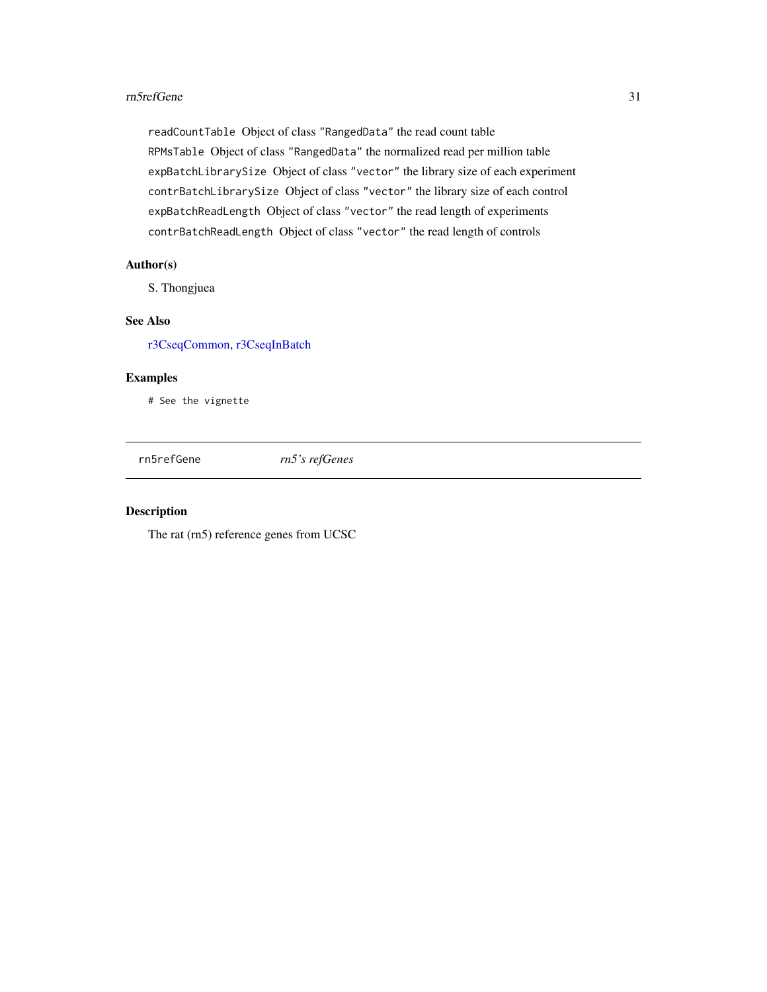#### <span id="page-30-0"></span>rn5refGene 31

readCountTable Object of class "RangedData" the read count table RPMsTable Object of class "RangedData" the normalized read per million table expBatchLibrarySize Object of class "vector" the library size of each experiment contrBatchLibrarySize Object of class "vector" the library size of each control expBatchReadLength Object of class "vector" the read length of experiments contrBatchReadLength Object of class "vector" the read length of controls

#### Author(s)

S. Thongjuea

#### See Also

[r3CseqCommon,](#page-28-1) [r3CseqInBatch](#page-29-1)

## Examples

# See the vignette

rn5refGene *rn5's refGenes*

#### Description

The rat (rn5) reference genes from UCSC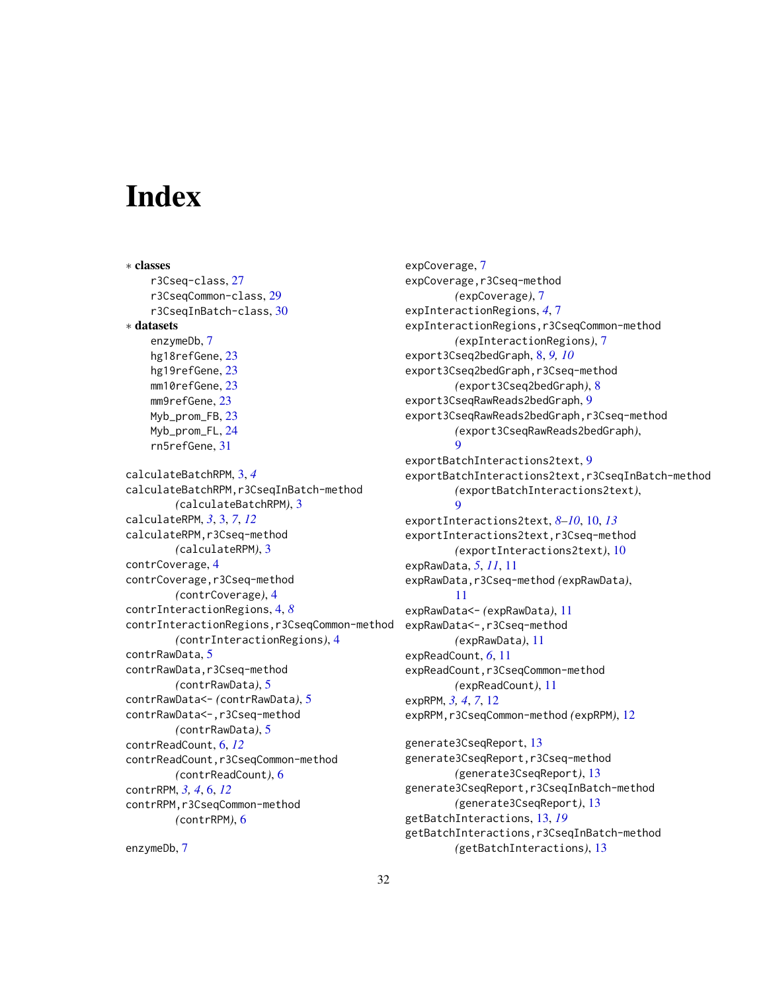# <span id="page-31-0"></span>Index

∗ classes r3Cseq-class, [27](#page-26-0) r3CseqCommon-class, [29](#page-28-0) r3CseqInBatch-class, [30](#page-29-0) ∗ datasets enzymeDb, [7](#page-6-0) hg18refGene, [23](#page-22-0) hg19refGene, [23](#page-22-0) mm10refGene, [23](#page-22-0) mm9refGene, [23](#page-22-0) Myb\_prom\_FB, [23](#page-22-0) Myb\_prom\_FL, [24](#page-23-0) rn5refGene, [31](#page-30-0) calculateBatchRPM, [3,](#page-2-0) *[4](#page-3-0)* calculateBatchRPM,r3CseqInBatch-method *(*calculateBatchRPM*)*, [3](#page-2-0) calculateRPM, *[3](#page-2-0)*, [3,](#page-2-0) *[7](#page-6-0)*, *[12](#page-11-0)* calculateRPM,r3Cseq-method *(*calculateRPM*)*, [3](#page-2-0) contrCoverage, [4](#page-3-0) contrCoverage, r3Cseq-method *(*contrCoverage*)*, [4](#page-3-0) contrInteractionRegions, [4,](#page-3-0) *[8](#page-7-0)* contrInteractionRegions,r3CseqCommon-method *(*contrInteractionRegions*)*, [4](#page-3-0) contrRawData, [5](#page-4-0) contrRawData,r3Cseq-method *(*contrRawData*)*, [5](#page-4-0) contrRawData<- *(*contrRawData*)*, [5](#page-4-0) contrRawData<-,r3Cseq-method *(*contrRawData*)*, [5](#page-4-0) contrReadCount, [6,](#page-5-0) *[12](#page-11-0)* contrReadCount,r3CseqCommon-method *(*contrReadCount*)*, [6](#page-5-0) contrRPM, *[3,](#page-2-0) [4](#page-3-0)*, [6,](#page-5-0) *[12](#page-11-0)* contrRPM, r3CseqCommon-method *(*contrRPM*)*, [6](#page-5-0) enzymeDb, [7](#page-6-0)

expCoverage, [7](#page-6-0) expCoverage, r3Cseq-method *(*expCoverage*)*, [7](#page-6-0) expInteractionRegions, *[4](#page-3-0)*, [7](#page-6-0) expInteractionRegions,r3CseqCommon-method *(*expInteractionRegions*)*, [7](#page-6-0) export3Cseq2bedGraph, [8,](#page-7-0) *[9,](#page-8-0) [10](#page-9-0)* export3Cseq2bedGraph,r3Cseq-method *(*export3Cseq2bedGraph*)*, [8](#page-7-0) export3CseqRawReads2bedGraph, [9](#page-8-0) export3CseqRawReads2bedGraph,r3Cseq-method *(*export3CseqRawReads2bedGraph*)*,  $\mathbf Q$ exportBatchInteractions2text, [9](#page-8-0) exportBatchInteractions2text,r3CseqInBatch-method *(*exportBatchInteractions2text*)*,  $\mathbf Q$ exportInteractions2text, *[8](#page-7-0)[–10](#page-9-0)*, [10,](#page-9-0) *[13](#page-12-0)* exportInteractions2text,r3Cseq-method *(*exportInteractions2text*)*, [10](#page-9-0) expRawData, *[5](#page-4-0)*, *[11](#page-10-0)*, [11](#page-10-0) expRawData,r3Cseq-method *(*expRawData*)*, [11](#page-10-0) expRawData<- *(*expRawData*)*, [11](#page-10-0) expRawData <- , r3Cseq-method *(*expRawData*)*, [11](#page-10-0) expReadCount, *[6](#page-5-0)*, [11](#page-10-0) expReadCount,r3CseqCommon-method *(*expReadCount*)*, [11](#page-10-0) expRPM, *[3,](#page-2-0) [4](#page-3-0)*, *[7](#page-6-0)*, [12](#page-11-0) expRPM,r3CseqCommon-method *(*expRPM*)*, [12](#page-11-0) generate3CseqReport, [13](#page-12-0) generate3CseqReport,r3Cseq-method *(*generate3CseqReport*)*, [13](#page-12-0) generate3CseqReport,r3CseqInBatch-method *(*generate3CseqReport*)*, [13](#page-12-0) getBatchInteractions, [13,](#page-12-0) *[19](#page-18-0)*

getBatchInteractions,r3CseqInBatch-method *(*getBatchInteractions*)*, [13](#page-12-0)